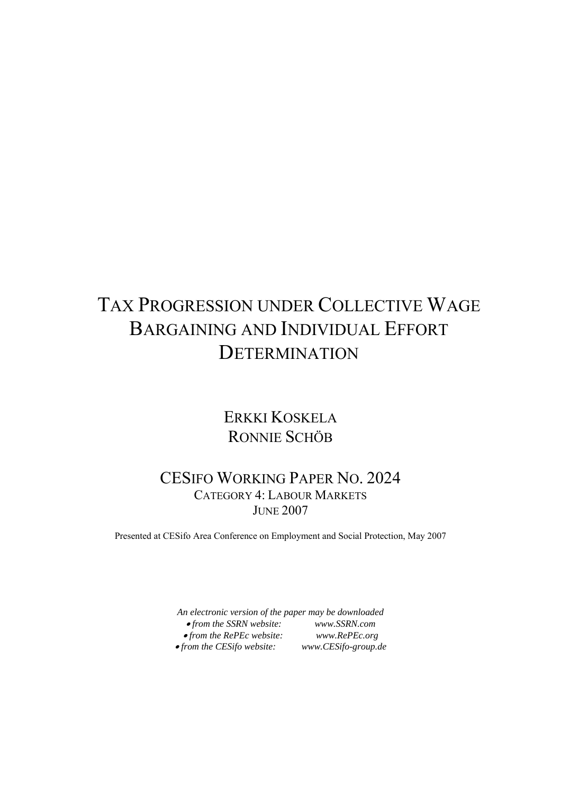# TAX PROGRESSION UNDER COLLECTIVE WAGE BARGAINING AND INDIVIDUAL EFFORT DETERMINATION

## ERKKI KOSKELA RONNIE SCHÖB

## CESIFO WORKING PAPER NO. 2024 CATEGORY 4: LABOUR MARKETS **JUNE 2007**

Presented at CESifo Area Conference on Employment and Social Protection, May 2007

*An electronic version of the paper may be downloaded*  • *from the SSRN website: www.SSRN.com*  • *from the RePEc website: www.RePEc.org*  **•** from the CESifo website: *www.CESifo-group.de*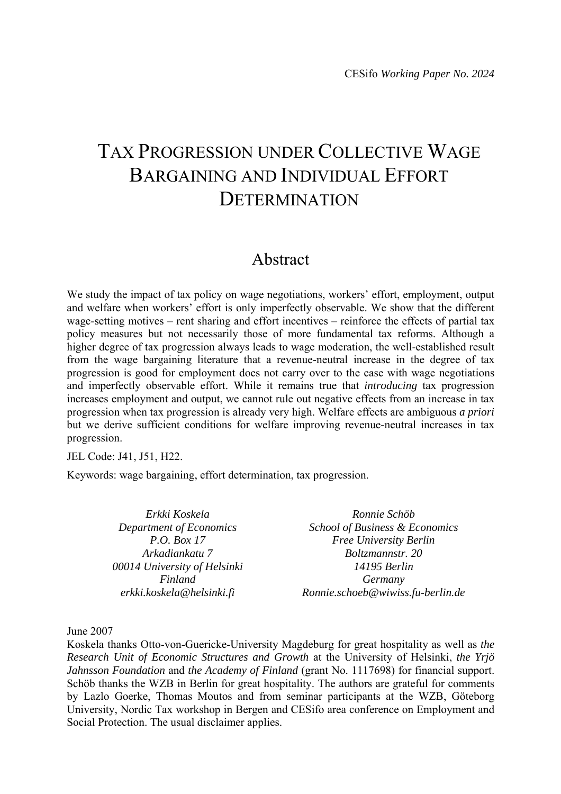# TAX PROGRESSION UNDER COLLECTIVE WAGE BARGAINING AND INDIVIDUAL EFFORT DETERMINATION

## Abstract

We study the impact of tax policy on wage negotiations, workers' effort, employment, output and welfare when workers' effort is only imperfectly observable. We show that the different wage-setting motives – rent sharing and effort incentives – reinforce the effects of partial tax policy measures but not necessarily those of more fundamental tax reforms. Although a higher degree of tax progression always leads to wage moderation, the well-established result from the wage bargaining literature that a revenue-neutral increase in the degree of tax progression is good for employment does not carry over to the case with wage negotiations and imperfectly observable effort. While it remains true that *introducing* tax progression increases employment and output, we cannot rule out negative effects from an increase in tax progression when tax progression is already very high. Welfare effects are ambiguous *a priori*  but we derive sufficient conditions for welfare improving revenue-neutral increases in tax progression.

JEL Code: J41, J51, H22.

Keywords: wage bargaining, effort determination, tax progression.

| Erkki Koskela                | Ronnie Schöb                      |  |  |
|------------------------------|-----------------------------------|--|--|
| Department of Economics      | School of Business & Economics    |  |  |
| P.O. Box 17                  | Free University Berlin            |  |  |
| Arkadiankatu 7               | Boltzmannstr. 20                  |  |  |
| 00014 University of Helsinki | 14195 Berlin                      |  |  |
| Finland                      | Germany                           |  |  |
| erkki.koskela@helsinki.fi    | Ronnie.schoeb@wiwiss.fu-berlin.de |  |  |

June 2007

Koskela thanks Otto-von-Guericke-University Magdeburg for great hospitality as well as *the Research Unit of Economic Structures and Growth* at the University of Helsinki, *the Yrjö Jahnsson Foundation and the Academy of Finland* (grant No. 1117698) for financial support. Schöb thanks the WZB in Berlin for great hospitality. The authors are grateful for comments by Lazlo Goerke, Thomas Moutos and from seminar participants at the WZB, Göteborg University, Nordic Tax workshop in Bergen and CESifo area conference on Employment and Social Protection. The usual disclaimer applies.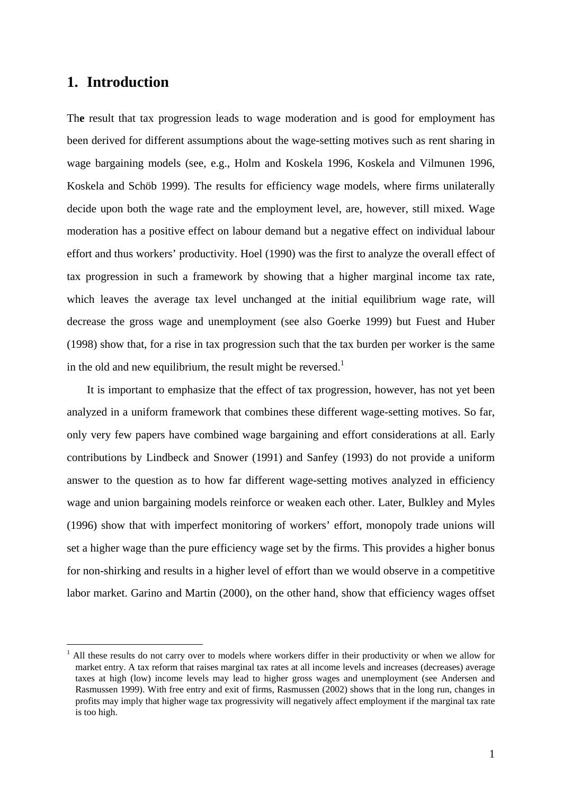## **1. Introduction**

<u>.</u>

Th**e** result that tax progression leads to wage moderation and is good for employment has been derived for different assumptions about the wage-setting motives such as rent sharing in wage bargaining models (see, e.g., Holm and Koskela 1996, Koskela and Vilmunen 1996, Koskela and Schöb 1999). The results for efficiency wage models, where firms unilaterally decide upon both the wage rate and the employment level, are, however, still mixed. Wage moderation has a positive effect on labour demand but a negative effect on individual labour effort and thus workers' productivity. Hoel (1990) was the first to analyze the overall effect of tax progression in such a framework by showing that a higher marginal income tax rate, which leaves the average tax level unchanged at the initial equilibrium wage rate, will decrease the gross wage and unemployment (see also Goerke 1999) but Fuest and Huber (1998) show that, for a rise in tax progression such that the tax burden per worker is the same in the old and new equilibrium, the result might be reversed.<sup>1</sup>

It is important to emphasize that the effect of tax progression, however, has not yet been analyzed in a uniform framework that combines these different wage-setting motives. So far, only very few papers have combined wage bargaining and effort considerations at all. Early contributions by Lindbeck and Snower (1991) and Sanfey (1993) do not provide a uniform answer to the question as to how far different wage-setting motives analyzed in efficiency wage and union bargaining models reinforce or weaken each other. Later, Bulkley and Myles (1996) show that with imperfect monitoring of workers' effort, monopoly trade unions will set a higher wage than the pure efficiency wage set by the firms. This provides a higher bonus for non-shirking and results in a higher level of effort than we would observe in a competitive labor market. Garino and Martin (2000), on the other hand, show that efficiency wages offset

<sup>1</sup> All these results do not carry over to models where workers differ in their productivity or when we allow for market entry. A tax reform that raises marginal tax rates at all income levels and increases (decreases) average taxes at high (low) income levels may lead to higher gross wages and unemployment (see Andersen and Rasmussen 1999). With free entry and exit of firms, Rasmussen (2002) shows that in the long run, changes in profits may imply that higher wage tax progressivity will negatively affect employment if the marginal tax rate is too high.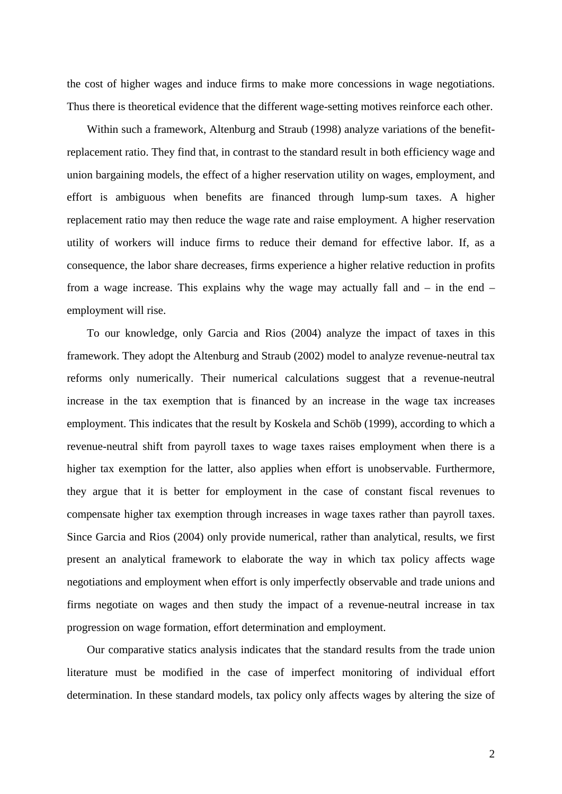the cost of higher wages and induce firms to make more concessions in wage negotiations. Thus there is theoretical evidence that the different wage-setting motives reinforce each other.

Within such a framework, Altenburg and Straub (1998) analyze variations of the benefitreplacement ratio. They find that, in contrast to the standard result in both efficiency wage and union bargaining models, the effect of a higher reservation utility on wages, employment, and effort is ambiguous when benefits are financed through lump-sum taxes. A higher replacement ratio may then reduce the wage rate and raise employment. A higher reservation utility of workers will induce firms to reduce their demand for effective labor. If, as a consequence, the labor share decreases, firms experience a higher relative reduction in profits from a wage increase. This explains why the wage may actually fall and  $-$  in the end  $$ employment will rise.

To our knowledge, only Garcia and Rios (2004) analyze the impact of taxes in this framework. They adopt the Altenburg and Straub (2002) model to analyze revenue-neutral tax reforms only numerically. Their numerical calculations suggest that a revenue-neutral increase in the tax exemption that is financed by an increase in the wage tax increases employment. This indicates that the result by Koskela and Schöb (1999), according to which a revenue-neutral shift from payroll taxes to wage taxes raises employment when there is a higher tax exemption for the latter, also applies when effort is unobservable. Furthermore, they argue that it is better for employment in the case of constant fiscal revenues to compensate higher tax exemption through increases in wage taxes rather than payroll taxes. Since Garcia and Rios (2004) only provide numerical, rather than analytical, results, we first present an analytical framework to elaborate the way in which tax policy affects wage negotiations and employment when effort is only imperfectly observable and trade unions and firms negotiate on wages and then study the impact of a revenue-neutral increase in tax progression on wage formation, effort determination and employment.

Our comparative statics analysis indicates that the standard results from the trade union literature must be modified in the case of imperfect monitoring of individual effort determination. In these standard models, tax policy only affects wages by altering the size of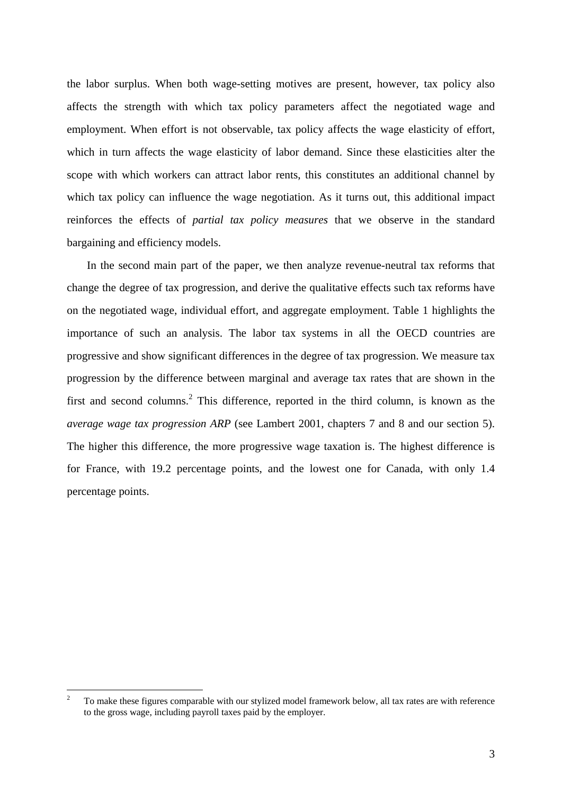the labor surplus. When both wage-setting motives are present, however, tax policy also affects the strength with which tax policy parameters affect the negotiated wage and employment. When effort is not observable, tax policy affects the wage elasticity of effort, which in turn affects the wage elasticity of labor demand. Since these elasticities alter the scope with which workers can attract labor rents, this constitutes an additional channel by which tax policy can influence the wage negotiation. As it turns out, this additional impact reinforces the effects of *partial tax policy measures* that we observe in the standard bargaining and efficiency models.

In the second main part of the paper, we then analyze revenue-neutral tax reforms that change the degree of tax progression, and derive the qualitative effects such tax reforms have on the negotiated wage, individual effort, and aggregate employment. Table 1 highlights the importance of such an analysis. The labor tax systems in all the OECD countries are progressive and show significant differences in the degree of tax progression. We measure tax progression by the difference between marginal and average tax rates that are shown in the first and second columns.<sup>2</sup> This difference, reported in the third column, is known as the *average wage tax progression ARP* (see Lambert 2001, chapters 7 and 8 and our section 5). The higher this difference, the more progressive wage taxation is. The highest difference is for France, with 19.2 percentage points, and the lowest one for Canada, with only 1.4 percentage points.

<u>.</u>

<sup>2</sup> To make these figures comparable with our stylized model framework below, all tax rates are with reference to the gross wage, including payroll taxes paid by the employer.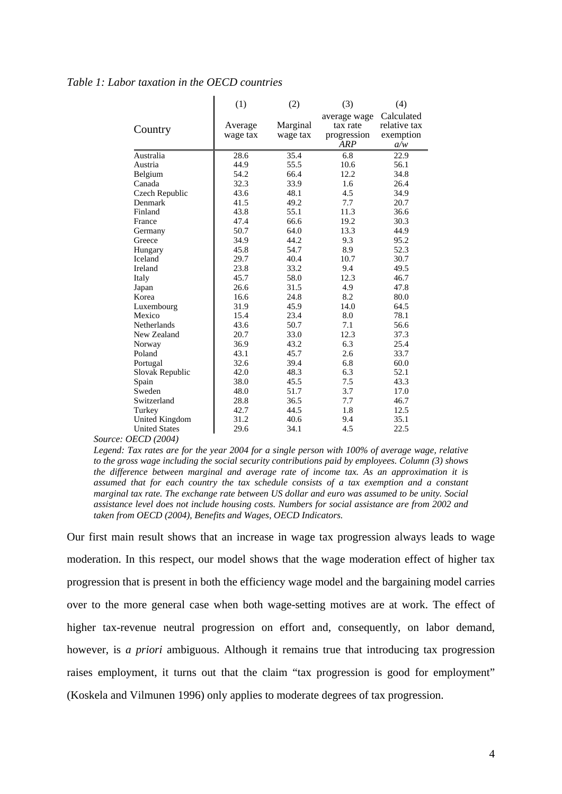#### *Table 1: Labor taxation in the OECD countries*

|                                        | (1)      | (2)      | (3)          | (4)          |
|----------------------------------------|----------|----------|--------------|--------------|
|                                        |          |          | average wage | Calculated   |
| Country                                | Average  | Marginal | tax rate     | relative tax |
|                                        | wage tax | wage tax | progression  | exemption    |
|                                        |          |          | ARP          | a/w          |
| Australia                              | 28.6     | 35.4     | 6.8          | 22.9         |
| Austria                                | 44.9     | 55.5     | 10.6         | 56.1         |
| Belgium                                | 54.2     | 66.4     | 12.2         | 34.8         |
| Canada                                 | 32.3     | 33.9     | 1.6          | 26.4         |
| Czech Republic                         | 43.6     | 48.1     | 4.5          | 34.9         |
| Denmark                                | 41.5     | 49.2     | 7.7          | 20.7         |
| Finland                                | 43.8     | 55.1     | 11.3         | 36.6         |
| France                                 | 47.4     | 66.6     | 19.2         | 30.3         |
| Germany                                | 50.7     | 64.0     | 13.3         | 44.9         |
| Greece                                 | 34.9     | 44.2     | 9.3          | 95.2         |
| Hungary                                | 45.8     | 54.7     | 8.9          | 52.3         |
| Iceland                                | 29.7     | 40.4     | 10.7         | 30.7         |
| Ireland                                | 23.8     | 33.2     | 9.4          | 49.5         |
| Italy                                  | 45.7     | 58.0     | 12.3         | 46.7         |
| Japan                                  | 26.6     | 31.5     | 4.9          | 47.8         |
| Korea                                  | 16.6     | 24.8     | 8.2          | 80.0         |
| Luxembourg                             | 31.9     | 45.9     | 14.0         | 64.5         |
| Mexico                                 | 15.4     | 23.4     | 8.0          | 78.1         |
| Netherlands                            | 43.6     | 50.7     | 7.1          | 56.6         |
| New Zealand                            | 20.7     | 33.0     | 12.3         | 37.3         |
| Norway                                 | 36.9     | 43.2     | 6.3          | 25.4         |
| Poland                                 | 43.1     | 45.7     | 2.6          | 33.7         |
| Portugal                               | 32.6     | 39.4     | 6.8          | 60.0         |
| Slovak Republic                        | 42.0     | 48.3     | 6.3          | 52.1         |
| Spain                                  | 38.0     | 45.5     | 7.5          | 43.3         |
| Sweden                                 | 48.0     | 51.7     | 3.7          | 17.0         |
| Switzerland                            | 28.8     | 36.5     | 7.7          | 46.7         |
| Turkey                                 | 42.7     | 44.5     | 1.8          | 12.5         |
| <b>United Kingdom</b>                  | 31.2     | 40.6     | 9.4          | 35.1         |
| <b>United States</b><br>$\overline{z}$ | 29.6     | 34.1     | 4.5          | 22.5         |

*Source: OECD (2004)* 

*Legend: Tax rates are for the year 2004 for a single person with 100% of average wage, relative to the gross wage including the social security contributions paid by employees. Column (3) shows the difference between marginal and average rate of income tax. As an approximation it is assumed that for each country the tax schedule consists of a tax exemption and a constant marginal tax rate. The exchange rate between US dollar and euro was assumed to be unity. Social assistance level does not include housing costs. Numbers for social assistance are from 2002 and taken from OECD (2004), Benefits and Wages, OECD Indicators.*

Our first main result shows that an increase in wage tax progression always leads to wage moderation. In this respect, our model shows that the wage moderation effect of higher tax progression that is present in both the efficiency wage model and the bargaining model carries over to the more general case when both wage-setting motives are at work. The effect of higher tax-revenue neutral progression on effort and, consequently, on labor demand, however, is *a priori* ambiguous. Although it remains true that introducing tax progression raises employment, it turns out that the claim "tax progression is good for employment" (Koskela and Vilmunen 1996) only applies to moderate degrees of tax progression.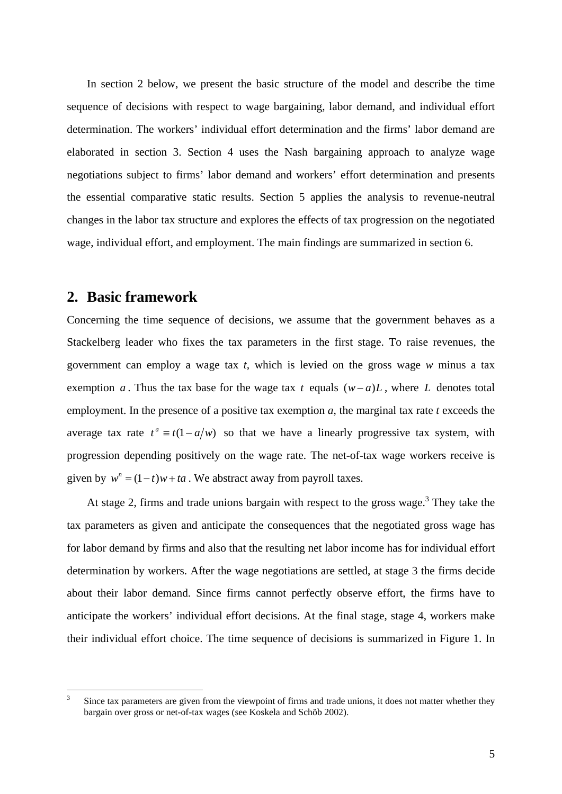In section 2 below, we present the basic structure of the model and describe the time sequence of decisions with respect to wage bargaining, labor demand, and individual effort determination. The workers' individual effort determination and the firms' labor demand are elaborated in section 3. Section 4 uses the Nash bargaining approach to analyze wage negotiations subject to firms' labor demand and workers' effort determination and presents the essential comparative static results. Section 5 applies the analysis to revenue-neutral changes in the labor tax structure and explores the effects of tax progression on the negotiated wage, individual effort, and employment. The main findings are summarized in section 6.

### **2. Basic framework**

<u>.</u>

Concerning the time sequence of decisions, we assume that the government behaves as a Stackelberg leader who fixes the tax parameters in the first stage. To raise revenues, the government can employ a wage tax *t,* which is levied on the gross wage *w* minus a tax exemption *a* . Thus the tax base for the wage tax *t* equals (*w*− *a*)*L* , where *L* denotes total employment. In the presence of a positive tax exemption *a*, the marginal tax rate *t* exceeds the average tax rate  $t^a \equiv t(1 - a/w)$  so that we have a linearly progressive tax system, with progression depending positively on the wage rate. The net-of-tax wage workers receive is given by  $w^n = (1-t)w + ta$ . We abstract away from payroll taxes.

At stage 2, firms and trade unions bargain with respect to the gross wage.<sup>3</sup> They take the tax parameters as given and anticipate the consequences that the negotiated gross wage has for labor demand by firms and also that the resulting net labor income has for individual effort determination by workers. After the wage negotiations are settled, at stage 3 the firms decide about their labor demand. Since firms cannot perfectly observe effort, the firms have to anticipate the workers' individual effort decisions. At the final stage, stage 4, workers make their individual effort choice. The time sequence of decisions is summarized in Figure 1. In

<sup>3</sup> Since tax parameters are given from the viewpoint of firms and trade unions, it does not matter whether they bargain over gross or net-of-tax wages (see Koskela and Schöb 2002).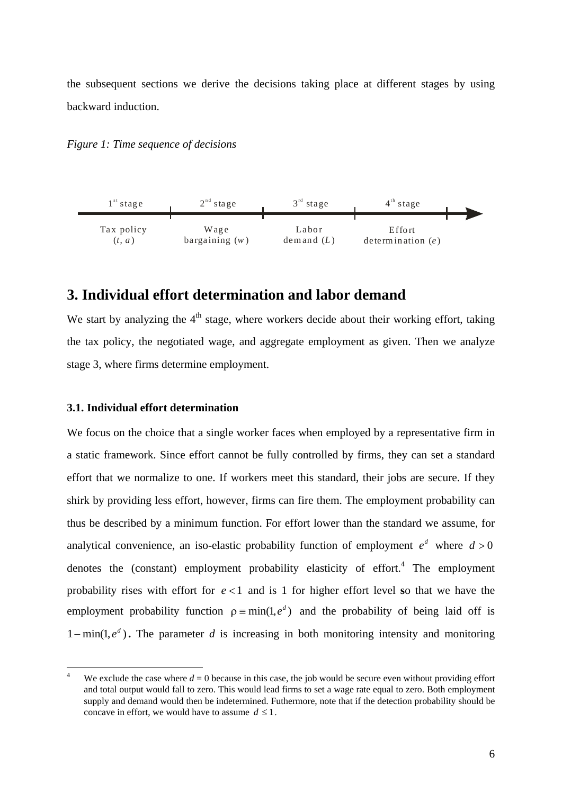the subsequent sections we derive the decisions taking place at different stages by using backward induction.

*Figure 1: Time sequence of decisions* 



## **3. Individual effort determination and labor demand**

We start by analyzing the  $4<sup>th</sup>$  stage, where workers decide about their working effort, taking the tax policy, the negotiated wage, and aggregate employment as given. Then we analyze stage 3, where firms determine employment.

#### **3.1. Individual effort determination**

<u>.</u>

We focus on the choice that a single worker faces when employed by a representative firm in a static framework. Since effort cannot be fully controlled by firms, they can set a standard effort that we normalize to one. If workers meet this standard, their jobs are secure. If they shirk by providing less effort, however, firms can fire them. The employment probability can thus be described by a minimum function. For effort lower than the standard we assume, for analytical convenience, an iso-elastic probability function of employment  $e^d$  where  $d > 0$ denotes the (constant) employment probability elasticity of effort.<sup>4</sup> The employment probability rises with effort for *e* < 1 and is 1 for higher effort level **s**o that we have the employment probability function  $\rho = \min(1, e^d)$  and the probability of being laid off is  $1 - min(1, e^d)$ . The parameter *d* is increasing in both monitoring intensity and monitoring

<sup>4</sup> We exclude the case where  $d = 0$  because in this case, the job would be secure even without providing effort and total output would fall to zero. This would lead firms to set a wage rate equal to zero. Both employment supply and demand would then be indetermined. Futhermore, note that if the detection probability should be concave in effort, we would have to assume  $d \leq 1$ .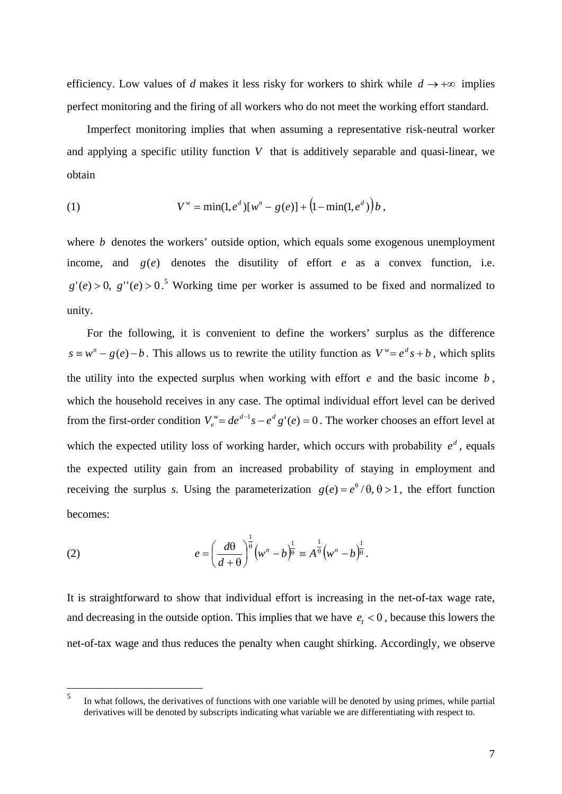efficiency. Low values of *d* makes it less risky for workers to shirk while  $d \rightarrow +\infty$  implies perfect monitoring and the firing of all workers who do not meet the working effort standard.

Imperfect monitoring implies that when assuming a representative risk-neutral worker and applying a specific utility function *V* that is additively separable and quasi-linear, we obtain

(1) 
$$
V^w = \min(1, e^d) [w^n - g(e)] + (1 - \min(1, e^d)) b,
$$

where *b* denotes the workers' outside option, which equals some exogenous unemployment income, and  $g(e)$  denotes the disutility of effort  $e$  as a convex function, i.e.  $g'(e) > 0$ ,  $g''(e) > 0$ .<sup>5</sup> Working time per worker is assumed to be fixed and normalized to unity.

For the following, it is convenient to define the workers' surplus as the difference  $s \equiv w^n - g(e) - b$ . This allows us to rewrite the utility function as  $V^w = e^d s + b$ , which splits the utility into the expected surplus when working with effort *e* and the basic income *b* , which the household receives in any case. The optimal individual effort level can be derived from the first-order condition  $V_e^w = de^{d-1}s - e^d g'(e) = 0$ . The worker chooses an effort level at which the expected utility loss of working harder, which occurs with probability  $e^d$ , equals the expected utility gain from an increased probability of staying in employment and receiving the surplus *s*. Using the parameterization  $g(e) = e^{\theta} / \theta, \theta > 1$ , the effort function becomes:

(2) 
$$
e = \left(\frac{d\theta}{d+\theta}\right)^{\frac{1}{\theta}} \left(w^{n} - b\right)^{\frac{1}{\theta}} \equiv A^{\frac{1}{\theta}} \left(w^{n} - b\right)^{\frac{1}{\theta}}.
$$

It is straightforward to show that individual effort is increasing in the net-of-tax wage rate, and decreasing in the outside option. This implies that we have  $e_t < 0$ , because this lowers the net-of-tax wage and thus reduces the penalty when caught shirking. Accordingly, we observe

 $\frac{1}{5}$  In what follows, the derivatives of functions with one variable will be denoted by using primes, while partial derivatives will be denoted by subscripts indicating what variable we are differentiating with respect to.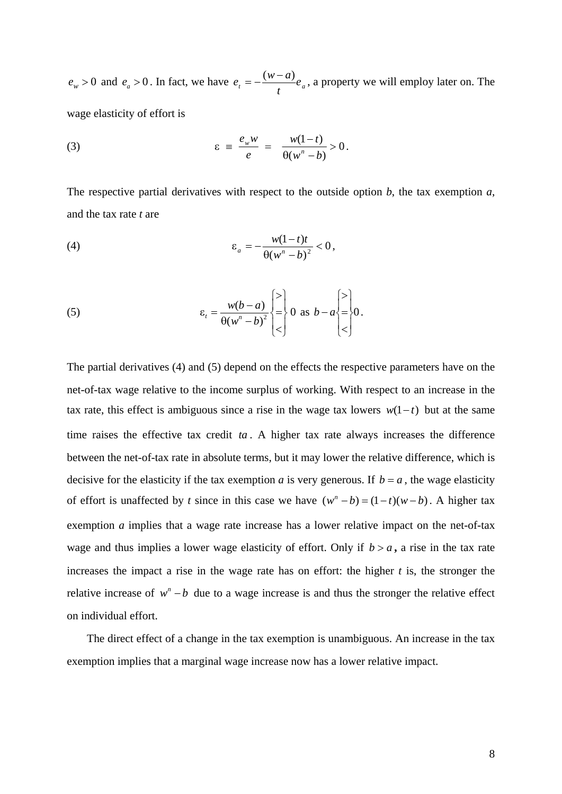$e_w > 0$  and  $e_a > 0$ . In fact, we have  $e_t = -\frac{\Delta w}{t} e_a$  $e_i = -\frac{(w-a)}{w}e_a$ , a property we will employ later on. The wage elasticity of effort is

(3) 
$$
\varepsilon = \frac{e_w w}{e} = \frac{w(1-t)}{\theta(w^n - b)} > 0.
$$

The respective partial derivatives with respect to the outside option *b*, the tax exemption *a*, and the tax rate *t* are

$$
\varepsilon_a = -\frac{w(1-t)t}{\theta(w^n - b)^2} < 0,
$$

(5) 
$$
\varepsilon_t = \frac{w(b-a)}{\theta(w^n - b)^2} \begin{cases} > \\ = \\ < \end{cases} 0 \text{ as } b-a \begin{cases} > \\ = \\ = \\ < \end{cases} 0.
$$

The partial derivatives (4) and (5) depend on the effects the respective parameters have on the net-of-tax wage relative to the income surplus of working. With respect to an increase in the tax rate, this effect is ambiguous since a rise in the wage tax lowers  $w(1-t)$  but at the same time raises the effective tax credit *ta* . A higher tax rate always increases the difference between the net-of-tax rate in absolute terms, but it may lower the relative difference, which is decisive for the elasticity if the tax exemption *a* is very generous. If  $b = a$ , the wage elasticity of effort is unaffected by *t* since in this case we have  $(w^n - b) = (1 - t)(w - b)$ . A higher tax exemption *a* implies that a wage rate increase has a lower relative impact on the net-of-tax wage and thus implies a lower wage elasticity of effort. Only if  $b > a$ , a rise in the tax rate increases the impact a rise in the wage rate has on effort: the higher *t* is, the stronger the relative increase of  $w<sup>n</sup> - b$  due to a wage increase is and thus the stronger the relative effect on individual effort.

The direct effect of a change in the tax exemption is unambiguous. An increase in the tax exemption implies that a marginal wage increase now has a lower relative impact.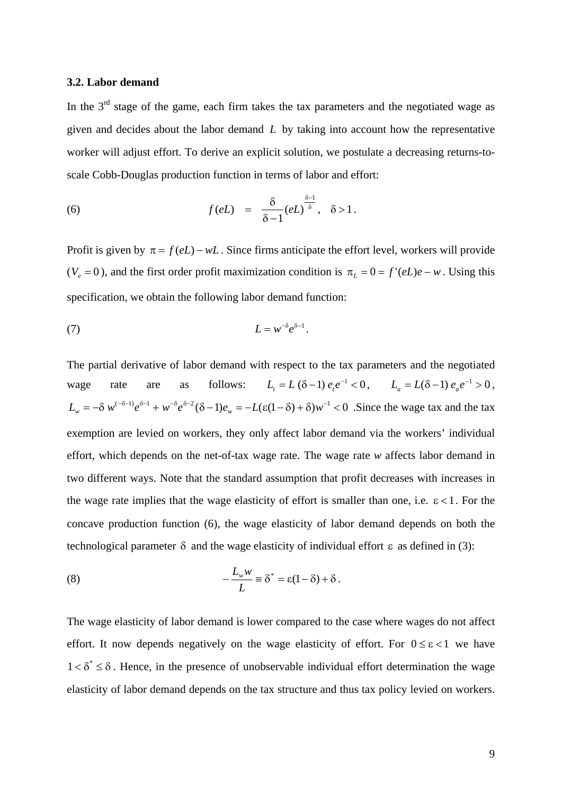#### **3.2. Labor demand**

In the  $3<sup>rd</sup>$  stage of the game, each firm takes the tax parameters and the negotiated wage as given and decides about the labor demand *L* by taking into account how the representative worker will adjust effort. To derive an explicit solution, we postulate a decreasing returns-toscale Cobb-Douglas production function in terms of labor and effort:

(6) 
$$
f(eL) = \frac{\delta}{\delta - 1} (eL)^{\frac{\delta - 1}{\delta}}, \quad \delta > 1.
$$

Profit is given by  $\pi = f(eL) - wL$ . Since firms anticipate the effort level, workers will provide ( $V_e = 0$ ), and the first order profit maximization condition is  $\pi_L = 0 = f'(eL)e - w$ . Using this specification, we obtain the following labor demand function:

$$
(7) \tL = w^{-\delta} e^{\delta - 1}.
$$

The partial derivative of labor demand with respect to the tax parameters and the negotiated wage rate are as follows:  $L_t = L(\delta - 1) e_t e^{-1} < 0$ ,  $L_a = L(\delta - 1) e_a e^{-1} > 0$ ,  $L_{\omega} = -\delta w^{(-\delta - 1)} e^{\delta - 1} + w^{-\delta} e^{\delta - 2} (\delta - 1) e_{\omega} = -L(\epsilon (1 - \delta) + \delta) w^{-1} < 0$ . Since the wage tax and the tax exemption are levied on workers, they only affect labor demand via the workers' individual effort, which depends on the net-of-tax wage rate. The wage rate *w* affects labor demand in two different ways. Note that the standard assumption that profit decreases with increases in the wage rate implies that the wage elasticity of effort is smaller than one, i.e.  $\epsilon < 1$ . For the concave production function (6), the wage elasticity of labor demand depends on both the technological parameter  $\delta$  and the wage elasticity of individual effort  $\epsilon$  as defined in (3):

(8) 
$$
-\frac{L_w w}{L} \equiv \delta^* = \varepsilon (1-\delta) + \delta.
$$

The wage elasticity of labor demand is lower compared to the case where wages do not affect effort. It now depends negatively on the wage elasticity of effort. For  $0 \le \varepsilon < 1$  we have  $1 < \delta^* \leq \delta$ . Hence, in the presence of unobservable individual effort determination the wage elasticity of labor demand depends on the tax structure and thus tax policy levied on workers.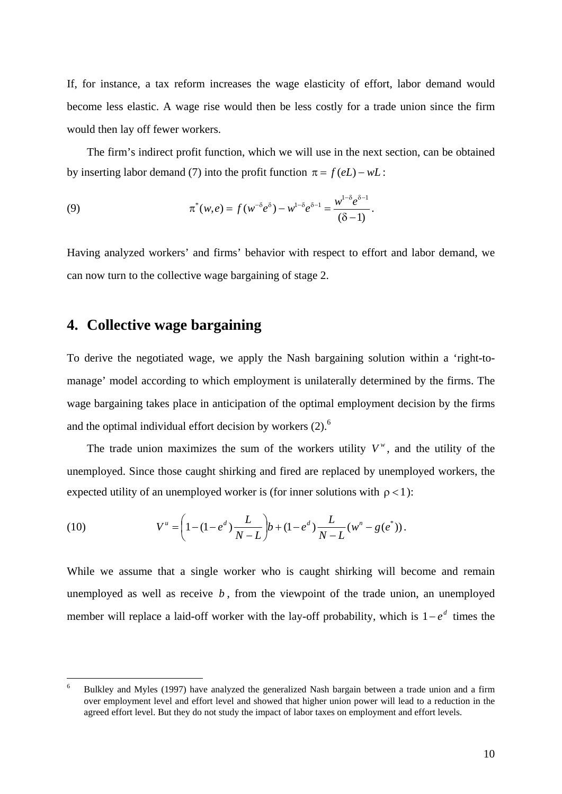If, for instance, a tax reform increases the wage elasticity of effort, labor demand would become less elastic. A wage rise would then be less costly for a trade union since the firm would then lay off fewer workers.

The firm's indirect profit function, which we will use in the next section, can be obtained by inserting labor demand (7) into the profit function  $\pi = f(eL) - wL$ :

(9) 
$$
\pi^*(w,e) = f(w^{-\delta}e^{\delta}) - w^{1-\delta}e^{\delta-1} = \frac{w^{1-\delta}e^{\delta-1}}{(\delta-1)}.
$$

Having analyzed workers' and firms' behavior with respect to effort and labor demand, we can now turn to the collective wage bargaining of stage 2.

## **4. Collective wage bargaining**

To derive the negotiated wage, we apply the Nash bargaining solution within a 'right-tomanage' model according to which employment is unilaterally determined by the firms. The wage bargaining takes place in anticipation of the optimal employment decision by the firms and the optimal individual effort decision by workers  $(2)$ .<sup>6</sup>

The trade union maximizes the sum of the workers utility  $V^{\nu}$ , and the utility of the unemployed. Since those caught shirking and fired are replaced by unemployed workers, the expected utility of an unemployed worker is (for inner solutions with  $\rho < 1$ ):

(10) 
$$
V^{u} = \left(1 - (1 - e^{d}) \frac{L}{N - L}\right) b + (1 - e^{d}) \frac{L}{N - L} (w^{n} - g(e^{*})).
$$

While we assume that a single worker who is caught shirking will become and remain unemployed as well as receive  $b$ , from the viewpoint of the trade union, an unemployed member will replace a laid-off worker with the lay-off probability, which is  $1-e^d$  times the

 $-$ <br>6 Bulkley and Myles (1997) have analyzed the generalized Nash bargain between a trade union and a firm over employment level and effort level and showed that higher union power will lead to a reduction in the agreed effort level. But they do not study the impact of labor taxes on employment and effort levels.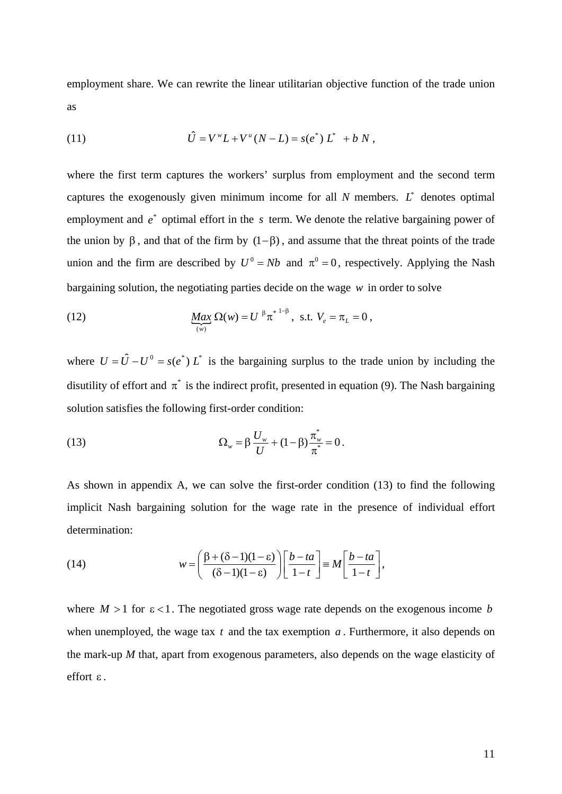employment share. We can rewrite the linear utilitarian objective function of the trade union as

(11) 
$$
\hat{U} = V^{\nu} L + V^{\mu} (N - L) = s(e^*) L^* + b N,
$$

where the first term captures the workers' surplus from employment and the second term captures the exogenously given minimum income for all  $N$  members.  $L^*$  denotes optimal employment and  $e^*$  optimal effort in the s term. We denote the relative bargaining power of the union by  $\beta$ , and that of the firm by  $(1-\beta)$ , and assume that the threat points of the trade union and the firm are described by  $U^0 = Nb$  and  $\pi^0 = 0$ , respectively. Applying the Nash bargaining solution, the negotiating parties decide on the wage *w* in order to solve

(12) 
$$
\underbrace{Max}_{(w)} \Omega(w) = U^{\beta} \pi^{*1-\beta}, \text{ s.t. } V_e = \pi_L = 0,
$$

where  $U = \hat{U} - U^0 = s(e^*) L^*$  is the bargaining surplus to the trade union by including the disutility of effort and  $\pi^*$  is the indirect profit, presented in equation (9). The Nash bargaining solution satisfies the following first-order condition:

(13) 
$$
\Omega_w = \beta \frac{U_w}{U} + (1 - \beta) \frac{\pi_w^*}{\pi^*} = 0.
$$

As shown in appendix A, we can solve the first-order condition (13) to find the following implicit Nash bargaining solution for the wage rate in the presence of individual effort determination:

(14) 
$$
w = \left(\frac{\beta + (\delta - 1)(1 - \varepsilon)}{(\delta - 1)(1 - \varepsilon)}\right) \left[\frac{b - ta}{1 - t}\right] \equiv M \left[\frac{b - ta}{1 - t}\right],
$$

where  $M > 1$  for  $\varepsilon < 1$ . The negotiated gross wage rate depends on the exogenous income *b* when unemployed, the wage tax *t* and the tax exemption *a* . Furthermore, it also depends on the mark-up *M* that, apart from exogenous parameters, also depends on the wage elasticity of effort ε .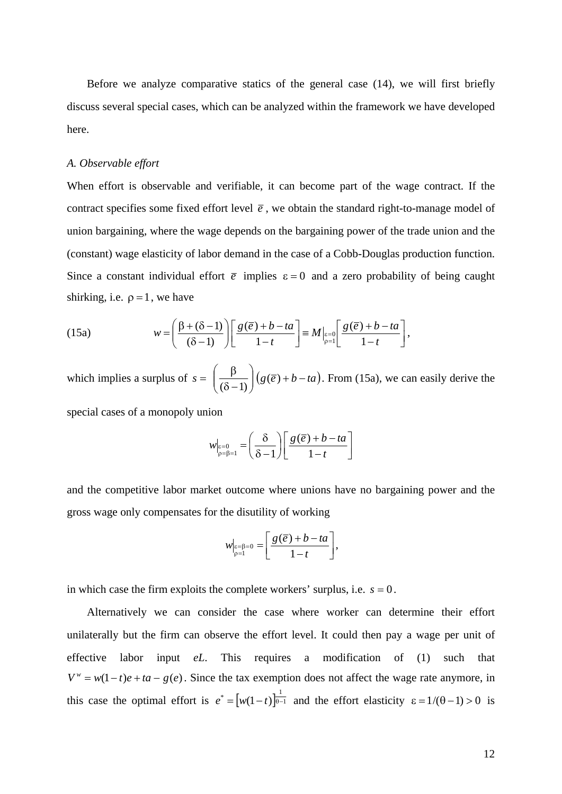Before we analyze comparative statics of the general case (14), we will first briefly discuss several special cases, which can be analyzed within the framework we have developed here.

#### *A. Observable effort*

When effort is observable and verifiable, it can become part of the wage contract. If the contract specifies some fixed effort level  $\bar{e}$ , we obtain the standard right-to-manage model of union bargaining, where the wage depends on the bargaining power of the trade union and the (constant) wage elasticity of labor demand in the case of a Cobb-Douglas production function. Since a constant individual effort  $\bar{e}$  implies  $\varepsilon = 0$  and a zero probability of being caught shirking, i.e.  $\rho = 1$ , we have

(15a) 
$$
w = \left(\frac{\beta + (\delta - 1)}{(\delta - 1)}\right) \left[\frac{g(\overline{e}) + b - ta}{1 - t}\right] = M \Big|_{\beta = 0} \left[\frac{g(\overline{e}) + b - ta}{1 - t}\right],
$$

which implies a surplus of  $s = \left( \frac{p}{(\delta - 1)} \right) \left( g(\overline{e}) + b - ta \right)$ ⎠  $\setminus$  $\overline{\phantom{a}}$ ⎝  $\big($  $\left(\frac{\beta}{(\delta-1)}\right)$   $\left(g(\overline{e})+b-ta\right)$ . From (15a), we can easily derive the

special cases of a monopoly union

$$
w|_{\mathfrak{p}=\mathfrak{p}=1} = \left(\frac{\delta}{\delta-1}\right) \left[\frac{g(\overline{e}) + b - ta}{1-t}\right]
$$

and the competitive labor market outcome where unions have no bargaining power and the gross wage only compensates for the disutility of working

$$
w|_{\substack{\varepsilon=\beta=0\\ \rho=1}} = \left[ \frac{g(\overline{e}) + b - ta}{1-t} \right],
$$

in which case the firm exploits the complete workers' surplus, i.e.  $s = 0$ .

Alternatively we can consider the case where worker can determine their effort unilaterally but the firm can observe the effort level. It could then pay a wage per unit of effective labor input *eL*. This requires a modification of (1) such that  $V^w = w(1-t)e + ta - g(e)$ . Since the tax exemption does not affect the wage rate anymore, in this case the optimal effort is  $e^* = [w(1-t)]_{\theta-1}^{\frac{1}{\theta-1}}$  and the effort elasticity  $\varepsilon = 1/(\theta-1) > 0$  is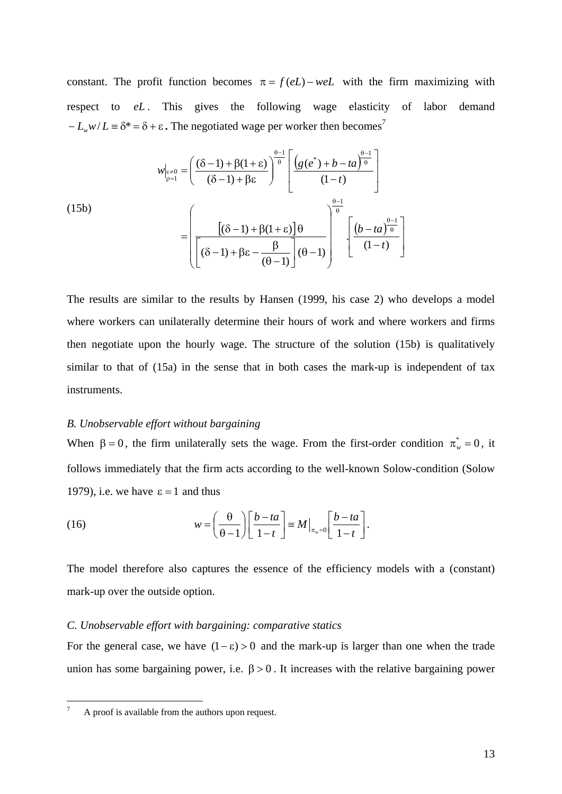constant. The profit function becomes  $\pi = f(eL) - weL$  with the firm maximizing with respect to *eL* . This gives the following wage elasticity of labor demand  $-L_w w/L = \delta^* = \delta + \varepsilon$ . The negotiated wage per worker then becomes<sup>7</sup>

$$
w|_{\varepsilon=0} = \left(\frac{(\delta-1) + \beta(1+\varepsilon)}{(\delta-1) + \beta\varepsilon}\right)^{\frac{\theta-1}{\theta}} \left[\frac{\left(g(e^*) + b - ta\right)^{\frac{\theta-1}{\theta}}}{(1-t)}\right]
$$
  
(15b)
$$
= \left(\frac{\left[(\delta-1) + \beta(1+\varepsilon)\right]\theta}{\left[(\delta-1) + \beta\varepsilon - \frac{\beta}{(\theta-1)}\right](\theta-1)}\right)^{\frac{\theta-1}{\theta}} \left[\frac{\left(b - ta\right)^{\frac{\theta-1}{\theta}}}{(1-t)}\right]
$$

The results are similar to the results by Hansen (1999, his case 2) who develops a model where workers can unilaterally determine their hours of work and where workers and firms then negotiate upon the hourly wage. The structure of the solution (15b) is qualitatively similar to that of (15a) in the sense that in both cases the mark-up is independent of tax instruments.

#### *B. Unobservable effort without bargaining*

When  $\beta = 0$ , the firm unilaterally sets the wage. From the first-order condition  $\pi_w^* = 0$ , it follows immediately that the firm acts according to the well-known Solow-condition (Solow 1979), i.e. we have  $\varepsilon = 1$  and thus

(16) 
$$
w = \left(\frac{\theta}{\theta - 1}\right) \left[\frac{b - ta}{1 - t}\right] \equiv M|_{\pi_w = 0} \left[\frac{b - ta}{1 - t}\right].
$$

The model therefore also captures the essence of the efficiency models with a (constant) mark-up over the outside option.

#### *C. Unobservable effort with bargaining: comparative statics*

For the general case, we have  $(1 - \varepsilon) > 0$  and the mark-up is larger than one when the trade union has some bargaining power, i.e.  $\beta > 0$ . It increases with the relative bargaining power

<u>.</u>

<sup>7</sup> A proof is available from the authors upon request.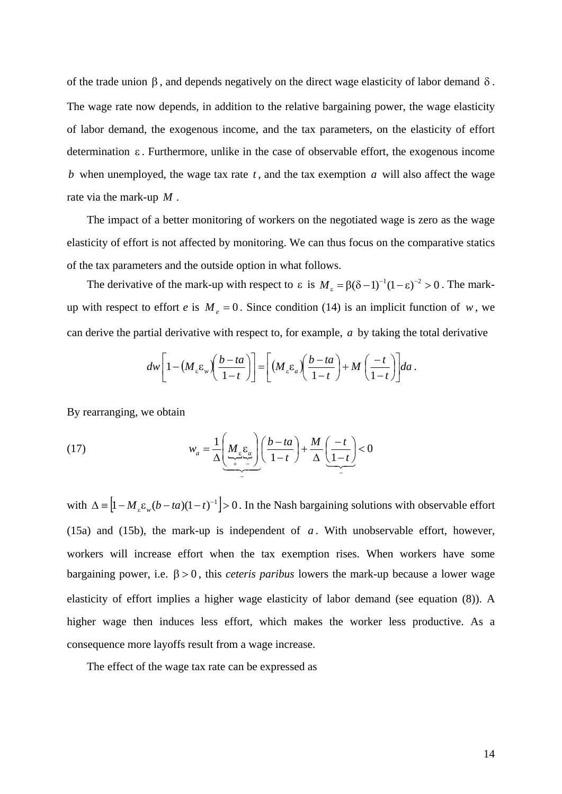of the trade union  $β$ , and depends negatively on the direct wage elasticity of labor demand δ. The wage rate now depends, in addition to the relative bargaining power, the wage elasticity of labor demand, the exogenous income, and the tax parameters, on the elasticity of effort determination ε . Furthermore, unlike in the case of observable effort, the exogenous income *b* when unemployed, the wage tax rate *t* , and the tax exemption *a* will also affect the wage rate via the mark-up *M* .

The impact of a better monitoring of workers on the negotiated wage is zero as the wage elasticity of effort is not affected by monitoring. We can thus focus on the comparative statics of the tax parameters and the outside option in what follows.

The derivative of the mark-up with respect to  $\varepsilon$  is  $M_{\varepsilon} = \beta (\delta - 1)^{-1} (1 - \varepsilon)^{-2} > 0$ . The markup with respect to effort *e* is  $M_e = 0$ . Since condition (14) is an implicit function of *w*, we can derive the partial derivative with respect to, for example, *a* by taking the total derivative

$$
dw\bigg[1-\big(M_{\varepsilon}\varepsilon_{w}\bigg)\bigg(\frac{b-ta}{1-t}\bigg)\bigg]=\bigg[\big(M_{\varepsilon}\varepsilon_{a}\bigg)\bigg(\frac{b-ta}{1-t}\bigg)+M\bigg(\frac{-t}{1-t}\bigg)\bigg]da.
$$

By rearranging, we obtain

(17) 
$$
w_a = \frac{1}{\Delta} \left( \underbrace{M_e \underbrace{\epsilon_a}_{+}}_{-} \right) \left( \frac{b - ta}{1 - t} \right) + \frac{M}{\Delta} \left( \underbrace{-t}_{-} \right) < 0
$$

with  $\Delta = [1 - M_{\epsilon} \varepsilon_w (b - ta)(1 - t)^{-1}] > 0$ . In the Nash bargaining solutions with observable effort (15a) and (15b), the mark-up is independent of  $a$ . With unobservable effort, however, workers will increase effort when the tax exemption rises. When workers have some bargaining power, i.e. β > 0 , this *ceteris paribus* lowers the mark-up because a lower wage elasticity of effort implies a higher wage elasticity of labor demand (see equation (8)). A higher wage then induces less effort, which makes the worker less productive. As a consequence more layoffs result from a wage increase.

The effect of the wage tax rate can be expressed as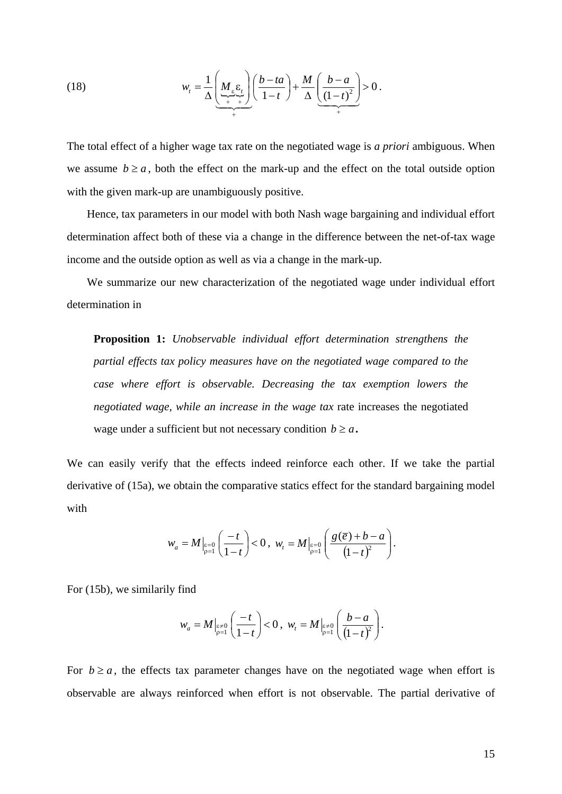(18) 
$$
w_{t} = \frac{1}{\Delta} \left( \underbrace{M_{\varepsilon} \varepsilon_{t}}_{+ \Delta t} \right) \left( \frac{b - ta}{1 - t} \right) + \frac{M}{\Delta} \left( \underbrace{\frac{b - a}{(1 - t)^{2}}} \right) > 0.
$$

The total effect of a higher wage tax rate on the negotiated wage is *a priori* ambiguous. When we assume  $b \ge a$ , both the effect on the mark-up and the effect on the total outside option with the given mark-up are unambiguously positive.

Hence, tax parameters in our model with both Nash wage bargaining and individual effort determination affect both of these via a change in the difference between the net-of-tax wage income and the outside option as well as via a change in the mark-up.

We summarize our new characterization of the negotiated wage under individual effort determination in

**Proposition 1:** *Unobservable individual effort determination strengthens the partial effects tax policy measures have on the negotiated wage compared to the case where effort is observable. Decreasing the tax exemption lowers the negotiated wage, while an increase in the wage tax* rate increases the negotiated wage under a sufficient but not necessary condition  $b \ge a$ .

We can easily verify that the effects indeed reinforce each other. If we take the partial derivative of (15a), we obtain the comparative statics effect for the standard bargaining model with

$$
w_a = M\Big|_{\substack{\varepsilon=0 \\ p=1}} \left(\frac{-t}{1-t}\right) < 0 \,, \ w_t = M\Big|_{\substack{\varepsilon=0 \\ p=1}} \left(\frac{g(\overline{e}) + b - a}{\left(1-t\right)^2}\right).
$$

For (15b), we similarily find

$$
w_a = M\Big|_{\substack{\varepsilon \neq 0 \\ \rho = 1}} \left(\frac{-t}{1-t}\right) < 0 \,, \ w_t = M\Big|_{\substack{\varepsilon \neq 0 \\ \rho = 1}} \left(\frac{b-a}{\left(1-t\right)^2}\right).
$$

For  $b \ge a$ , the effects tax parameter changes have on the negotiated wage when effort is observable are always reinforced when effort is not observable. The partial derivative of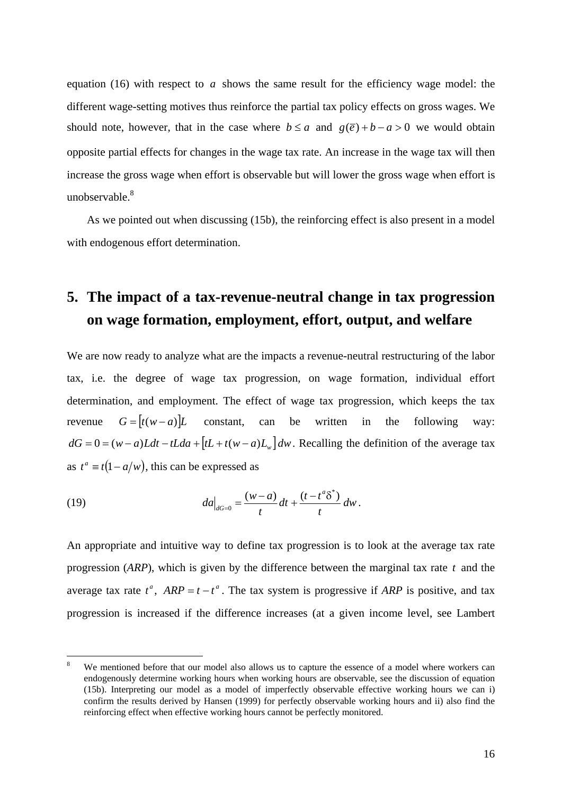equation (16) with respect to *a* shows the same result for the efficiency wage model: the different wage-setting motives thus reinforce the partial tax policy effects on gross wages. We should note, however, that in the case where  $b \le a$  and  $g(\overline{e}) + b - a > 0$  we would obtain opposite partial effects for changes in the wage tax rate. An increase in the wage tax will then increase the gross wage when effort is observable but will lower the gross wage when effort is unobservable.<sup>8</sup>

As we pointed out when discussing (15b), the reinforcing effect is also present in a model with endogenous effort determination.

## **5. The impact of a tax-revenue-neutral change in tax progression on wage formation, employment, effort, output, and welfare**

We are now ready to analyze what are the impacts a revenue-neutral restructuring of the labor tax, i.e. the degree of wage tax progression, on wage formation, individual effort determination, and employment. The effect of wage tax progression, which keeps the tax revenue  $G = [t(w - a)]L$  constant, can be written in the following way:  $dG = 0 = (w - a)Ldt - tLda + [tL + t(w - a)L_w]dw$ . Recalling the definition of the average tax as  $t^a \equiv t(1 - a/w)$ , this can be expressed as

(19) 
$$
da\Big|_{dG=0} = \frac{(w-a)}{t}dt + \frac{(t-t^a\delta^*)}{t}dw.
$$

<u>.</u>

An appropriate and intuitive way to define tax progression is to look at the average tax rate progression (*ARP*), which is given by the difference between the marginal tax rate *t* and the average tax rate  $t^a$ ,  $ARP = t - t^a$ . The tax system is progressive if *ARP* is positive, and tax progression is increased if the difference increases (at a given income level, see Lambert

<sup>8</sup> We mentioned before that our model also allows us to capture the essence of a model where workers can endogenously determine working hours when working hours are observable, see the discussion of equation (15b). Interpreting our model as a model of imperfectly observable effective working hours we can i) confirm the results derived by Hansen (1999) for perfectly observable working hours and ii) also find the reinforcing effect when effective working hours cannot be perfectly monitored.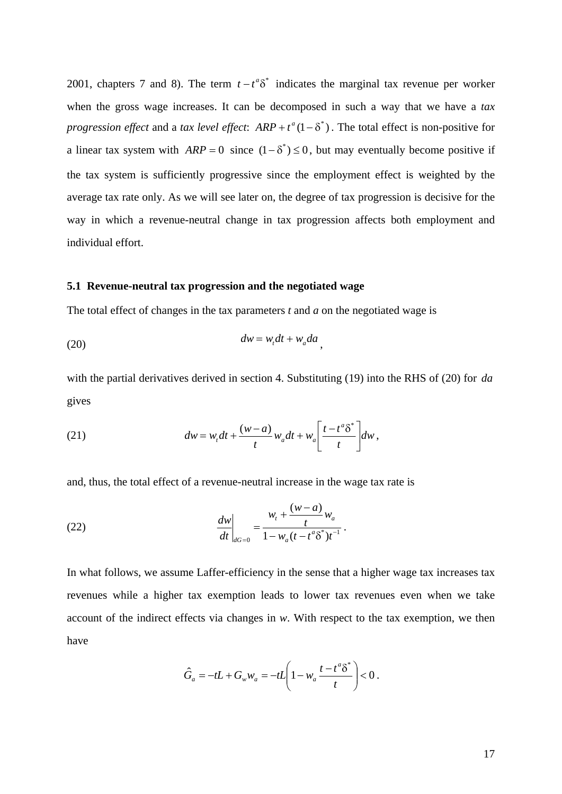2001, chapters 7 and 8). The term  $t - t^a \delta^*$  indicates the marginal tax revenue per worker when the gross wage increases. It can be decomposed in such a way that we have a *tax progression effect* and a *tax level effect*:  $ARP + t^a(1 - \delta^*)$ . The total effect is non-positive for a linear tax system with  $ARP = 0$  since  $(1 - \delta^*) \le 0$ , but may eventually become positive if the tax system is sufficiently progressive since the employment effect is weighted by the average tax rate only. As we will see later on, the degree of tax progression is decisive for the way in which a revenue-neutral change in tax progression affects both employment and individual effort.

#### **5.1 Revenue-neutral tax progression and the negotiated wage**

The total effect of changes in the tax parameters *t* and *a* on the negotiated wage is

$$
(20) \t dw = w_t dt + w_a da \t,
$$

with the partial derivatives derived in section 4. Substituting (19) into the RHS of (20) for *da* gives

(21) 
$$
dw = w_t dt + \frac{(w-a)}{t} w_a dt + w_a \left[ \frac{t - t^a \delta^*}{t} \right] dw,
$$

and, thus, the total effect of a revenue-neutral increase in the wage tax rate is

(22) 
$$
\frac{dw}{dt}\bigg|_{dG=0} = \frac{w_t + \frac{(w-a)}{t}w_a}{1 - w_a(t - t^a \delta^*)t^{-1}}.
$$

In what follows, we assume Laffer-efficiency in the sense that a higher wage tax increases tax revenues while a higher tax exemption leads to lower tax revenues even when we take account of the indirect effects via changes in *w*. With respect to the tax exemption, we then have

$$
\hat{G}_a = -tL + G_w w_a = -tL\left(1 - w_a \frac{t - t^a \delta^*}{t}\right) < 0.
$$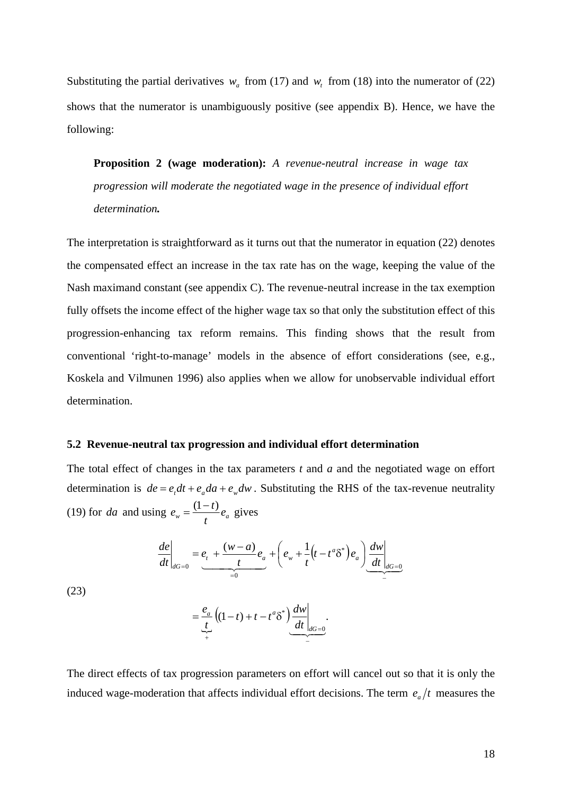Substituting the partial derivatives  $w_a$  from (17) and  $w_t$  from (18) into the numerator of (22) shows that the numerator is unambiguously positive (see appendix B). Hence, we have the following:

**Proposition 2 (wage moderation):** *A revenue-neutral increase in wage tax progression will moderate the negotiated wage in the presence of individual effort determination.*

The interpretation is straightforward as it turns out that the numerator in equation (22) denotes the compensated effect an increase in the tax rate has on the wage, keeping the value of the Nash maximand constant (see appendix C). The revenue-neutral increase in the tax exemption fully offsets the income effect of the higher wage tax so that only the substitution effect of this progression-enhancing tax reform remains. This finding shows that the result from conventional 'right-to-manage' models in the absence of effort considerations (see, e.g., Koskela and Vilmunen 1996) also applies when we allow for unobservable individual effort determination.

#### **5.2 Revenue-neutral tax progression and individual effort determination**

The total effect of changes in the tax parameters *t* and *a* and the negotiated wage on effort determination is  $de = e_t dt + e_u da + e_w dw$ . Substituting the RHS of the tax-revenue neutrality (19) for *da* and using  $e_w = \frac{(1-t)}{t} e_a$  $e_w = \frac{(1-t)}{2}e_a$  gives

$$
\frac{de}{dt}\Big|_{dG=0} = \underbrace{e_t + \frac{(w-a)}{t}e_a}_{=0} + \left(e_w + \frac{1}{t}(t - t^a \delta^*)e_a\right) \underbrace{\frac{dw}{dt}}_{=0}
$$

(23)

$$
=\underbrace{\frac{e_a}{t}}_{+}\left((1-t)+t-t^a\delta^*\right)\underbrace{\frac{dw}{dt}}_{=0}.
$$

The direct effects of tax progression parameters on effort will cancel out so that it is only the induced wage-moderation that affects individual effort decisions. The term  $e_a/t$  measures the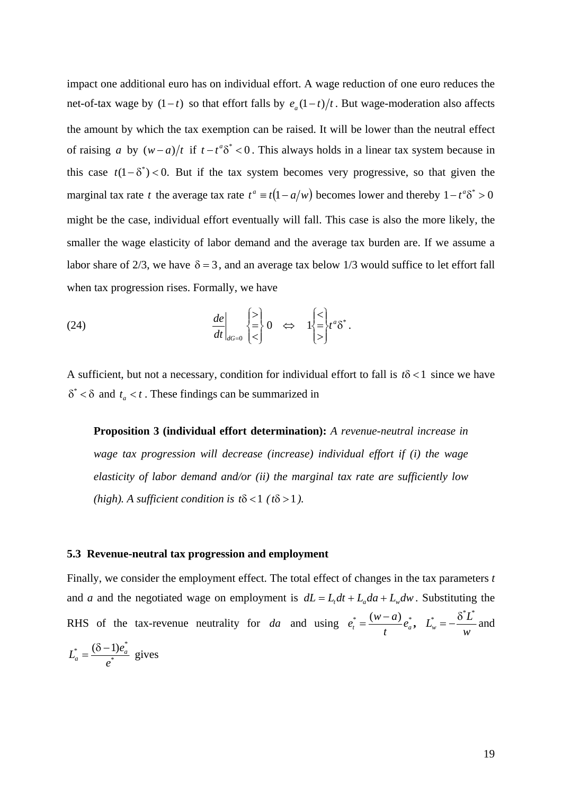impact one additional euro has on individual effort. A wage reduction of one euro reduces the net-of-tax wage by  $(1-t)$  so that effort falls by  $e_a(1-t)/t$ . But wage-moderation also affects the amount by which the tax exemption can be raised. It will be lower than the neutral effect of raising *a* by  $(w-a)/t$  if  $t-t^a\delta^* < 0$ . This always holds in a linear tax system because in this case  $t(1 - \delta^*) < 0$ . But if the tax system becomes very progressive, so that given the marginal tax rate *t* the average tax rate  $t^a \equiv t(1 - a/w)$  becomes lower and thereby  $1 - t^a \delta^* > 0$ might be the case, individual effort eventually will fall. This case is also the more likely, the smaller the wage elasticity of labor demand and the average tax burden are. If we assume a labor share of 2/3, we have  $\delta = 3$ , and an average tax below 1/3 would suffice to let effort fall when tax progression rises. Formally, we have

(24) 
$$
\left. \frac{de}{dt} \right|_{dG=0} \begin{cases} > \\ = \\ < \end{cases} 0 \iff 1 \begin{cases} < \\ = \\ > \end{cases} t^a \delta^*.
$$

A sufficient, but not a necessary, condition for individual effort to fall is *t*δ < 1 since we have  $\delta^* < \delta$  and  $t_a < t$ . These findings can be summarized in

**Proposition 3 (individual effort determination):** *A revenue-neutral increase in wage tax progression will decrease (increase) individual effort if (i) the wage elasticity of labor demand and/or (ii) the marginal tax rate are sufficiently low (high). A sufficient condition is t* $\delta$  < 1 *(t* $\delta$  > 1 *).* 

#### **5.3 Revenue-neutral tax progression and employment**

Finally, we consider the employment effect. The total effect of changes in the tax parameters *t* and *a* and the negotiated wage on employment is  $dL = L_t dt + L_u da + L_w dw$ . Substituting the RHS of the tax-revenue neutrality for *da* and using  $e_t^* = \frac{(w-a)}{t} e_a^*$  $e_t^* = \frac{(w-a)}{t} e_a^*$ ,  $L_w^* = -\frac{\delta^* L^*}{w}$  and \* \*  $(\delta - 1)e_a^*$ *e*  $L_a^* = \frac{(\delta - 1)e_a^*}{\epsilon}$  gives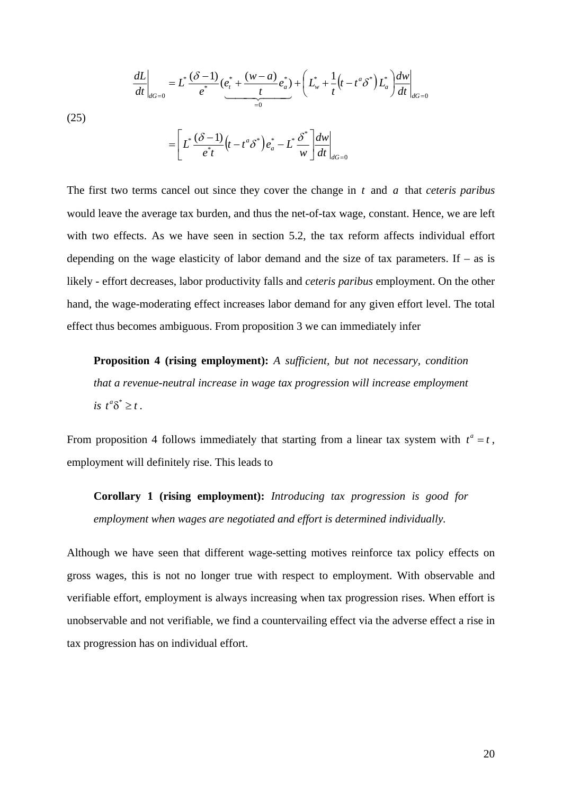(25)  

$$
\frac{dL}{dt}\Big|_{dG=0} = L^* \frac{(\delta - 1)}{e^*} \underbrace{(e_t^* + \frac{(w - a)}{t}e_a^*)}_{=0} + \left(L_w^* + \frac{1}{t}(t - t^a \delta^*)L_a^*\right) \frac{dw}{dt}\Big|_{dG=0}
$$

$$
= \left[L^* \frac{(\delta - 1)}{e^*t}(t - t^a \delta^*)e_a^* - L^* \frac{\delta^*}{w}\right] \frac{dw}{dt}\Big|_{dG=0}
$$

The first two terms cancel out since they cover the change in *t* and *a* that *ceteris paribus* would leave the average tax burden, and thus the net-of-tax wage, constant. Hence, we are left with two effects. As we have seen in section 5.2, the tax reform affects individual effort depending on the wage elasticity of labor demand and the size of tax parameters. If  $-$  as is likely - effort decreases, labor productivity falls and *ceteris paribus* employment. On the other hand, the wage-moderating effect increases labor demand for any given effort level. The total effect thus becomes ambiguous. From proposition 3 we can immediately infer

**Proposition 4 (rising employment):** *A sufficient, but not necessary, condition that a revenue-neutral increase in wage tax progression will increase employment*   $is$   $t^a\delta^* \geq t$ .

From proposition 4 follows immediately that starting from a linear tax system with  $t^a = t$ , employment will definitely rise. This leads to

**Corollary 1 (rising employment):** *Introducing tax progression is good for employment when wages are negotiated and effort is determined individually.*

Although we have seen that different wage-setting motives reinforce tax policy effects on gross wages, this is not no longer true with respect to employment. With observable and verifiable effort, employment is always increasing when tax progression rises. When effort is unobservable and not verifiable, we find a countervailing effect via the adverse effect a rise in tax progression has on individual effort.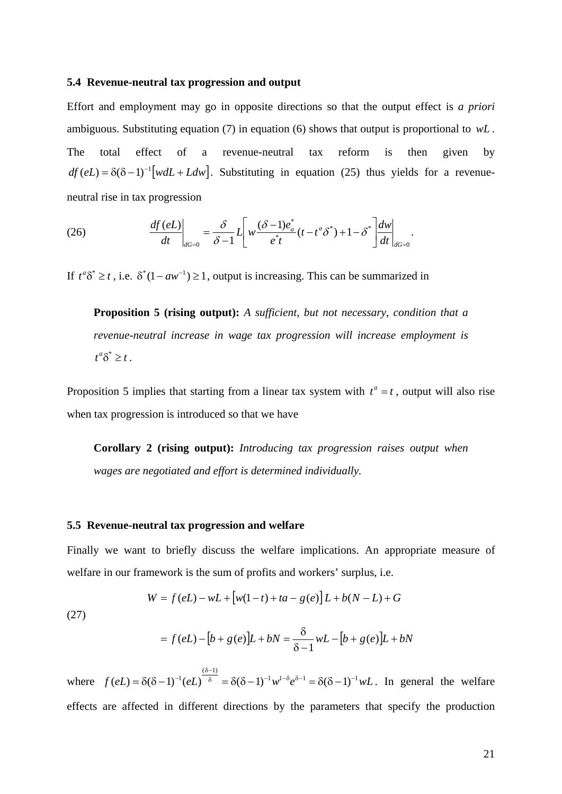#### **5.4 Revenue-neutral tax progression and output**

Effort and employment may go in opposite directions so that the output effect is *a priori*  ambiguous. Substituting equation (7) in equation (6) shows that output is proportional to *wL* . The total effect of a revenue-neutral tax reform is then given by  $df(eL) = \delta(\delta - 1)^{-1} [wdL + Ldw]$ . Substituting in equation (25) thus yields for a revenueneutral rise in tax progression

(26) 
$$
\frac{df(eL)}{dt}\bigg|_{dG=0} = \frac{\delta}{\delta-1}L\bigg[w\frac{(\delta-1)e_a^*}{e^*t}(t-t^a\delta^*)+1-\delta^*\bigg]\frac{dw}{dt}\bigg|_{dG=0}.
$$

If  $t^a \delta^* \ge t$ , i.e.  $\delta^*(1 - aw^{-1}) \ge 1$ , output is increasing. This can be summarized in

**Proposition 5 (rising output):** *A sufficient, but not necessary, condition that a revenue-neutral increase in wage tax progression will increase employment is*   $t^a\delta^* \geq t$ .

Proposition 5 implies that starting from a linear tax system with  $t^a = t$ , output will also rise when tax progression is introduced so that we have

**Corollary 2 (rising output):** *Introducing tax progression raises output when wages are negotiated and effort is determined individually.*

#### **5.5 Revenue-neutral tax progression and welfare**

Finally we want to briefly discuss the welfare implications. An appropriate measure of welfare in our framework is the sum of profits and workers' surplus, i.e.

$$
W = f(eL) - wL + [w(1-t) + ta - g(e)]L + b(N - L) + G
$$

(27)

$$
= f(eL) - [b + g(e)]L + bN = \frac{\delta}{\delta - 1} wL - [b + g(e)]L + bN
$$

where  $f(eL) = \delta(\delta - 1)^{-1}(eL)^{-\delta} = \delta(\delta - 1)^{-1}w^{1-\delta}e^{\delta - 1} = \delta(\delta - 1)^{-1}wL$  $(\delta -1)$  $(eL) = \delta(\delta - 1)^{-1} (eL)^{\delta} = \delta(\delta - 1)^{-1} w^{1 - \delta} e^{\delta - 1} = \delta(\delta - 1)^{-1}$ δ−  $=\delta(\delta-1)^{-1}(eL)^{\delta}$  =  $\delta(\delta-1)^{-1}w^{1-\delta}e^{\delta-1} = \delta(\delta-1)^{-1}wL$ . In general the welfare effects are affected in different directions by the parameters that specify the production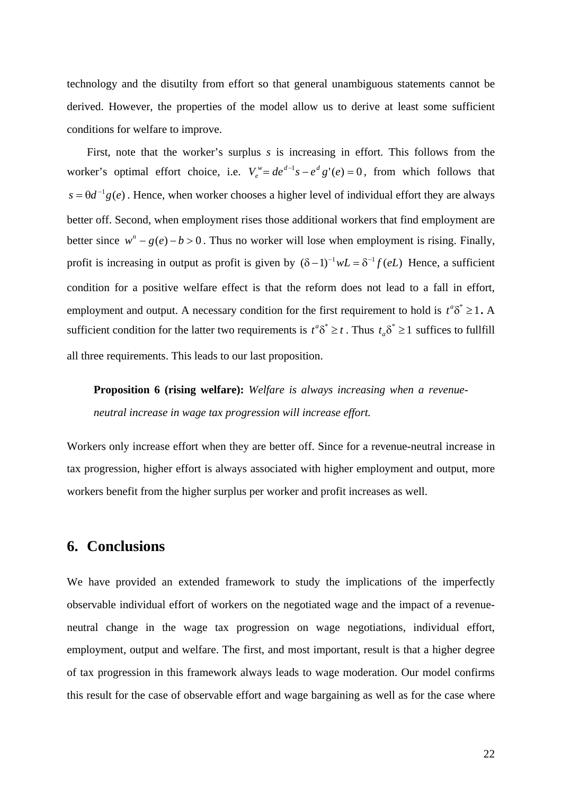technology and the disutilty from effort so that general unambiguous statements cannot be derived. However, the properties of the model allow us to derive at least some sufficient conditions for welfare to improve.

First, note that the worker's surplus *s* is increasing in effort. This follows from the worker's optimal effort choice, i.e.  $V_e^w = de^{d-1}s - e^d g'(e) = 0$ , from which follows that  $s = \theta d^{-1} g(e)$ . Hence, when worker chooses a higher level of individual effort they are always better off. Second, when employment rises those additional workers that find employment are better since  $w<sup>n</sup> - g(e) - b > 0$ . Thus no worker will lose when employment is rising. Finally, profit is increasing in output as profit is given by  $(\delta - 1)^{-1} wL = \delta^{-1} f(eL)$  Hence, a sufficient condition for a positive welfare effect is that the reform does not lead to a fall in effort, employment and output. A necessary condition for the first requirement to hold is  $t^a \delta^* \geq 1$ . A sufficient condition for the latter two requirements is  $t^a \delta^* \geq t$ . Thus  $t_a \delta^* \geq 1$  suffices to fullfill all three requirements. This leads to our last proposition.

**Proposition 6 (rising welfare):** *Welfare is always increasing when a revenueneutral increase in wage tax progression will increase effort.*

Workers only increase effort when they are better off. Since for a revenue-neutral increase in tax progression, higher effort is always associated with higher employment and output, more workers benefit from the higher surplus per worker and profit increases as well.

## **6. Conclusions**

We have provided an extended framework to study the implications of the imperfectly observable individual effort of workers on the negotiated wage and the impact of a revenueneutral change in the wage tax progression on wage negotiations, individual effort, employment, output and welfare. The first, and most important, result is that a higher degree of tax progression in this framework always leads to wage moderation. Our model confirms this result for the case of observable effort and wage bargaining as well as for the case where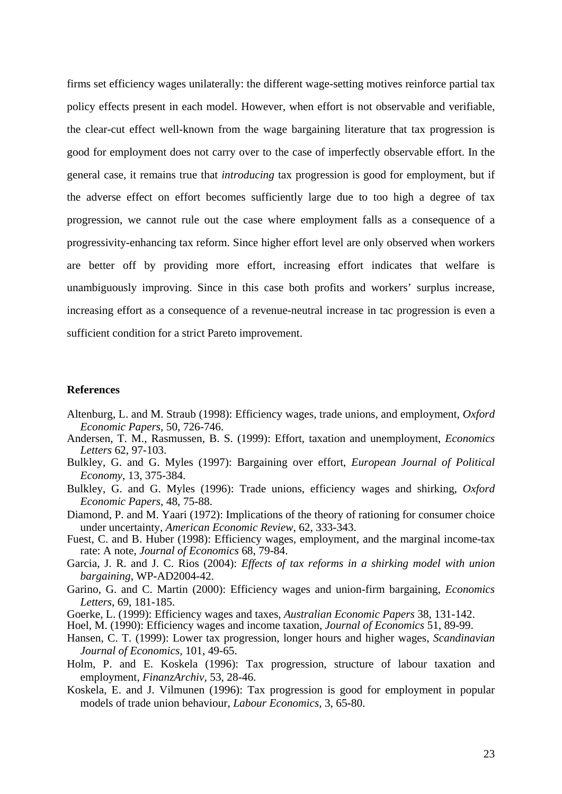firms set efficiency wages unilaterally: the different wage-setting motives reinforce partial tax policy effects present in each model. However, when effort is not observable and verifiable, the clear-cut effect well-known from the wage bargaining literature that tax progression is good for employment does not carry over to the case of imperfectly observable effort. In the general case, it remains true that *introducing* tax progression is good for employment, but if the adverse effect on effort becomes sufficiently large due to too high a degree of tax progression, we cannot rule out the case where employment falls as a consequence of a progressivity-enhancing tax reform. Since higher effort level are only observed when workers are better off by providing more effort, increasing effort indicates that welfare is unambiguously improving. Since in this case both profits and workers' surplus increase, increasing effort as a consequence of a revenue-neutral increase in tac progression is even a sufficient condition for a strict Pareto improvement.

#### **References**

- Altenburg, L. and M. Straub (1998): Efficiency wages, trade unions, and employment, *Oxford Economic Papers,* 50, 726-746.
- Andersen, T. M., Rasmussen, B. S. (1999): Effort, taxation and unemployment, *Economics Letters* 62, 97-103.
- Bulkley, G. and G. Myles (1997): Bargaining over effort, *European Journal of Political Economy,* 13, 375-384.
- Bulkley, G. and G. Myles (1996): Trade unions, efficiency wages and shirking, *Oxford Economic Papers,* 48, 75-88.
- Diamond, P. and M. Yaari (1972): Implications of the theory of rationing for consumer choice under uncertainty, *American Economic Review,* 62, 333-343.
- Fuest, C. and B. Huber (1998): Efficiency wages, employment, and the marginal income-tax rate: A note, *Journal of Economics* 68, 79-84.
- Garcia, J. R. and J. C. Rios (2004): *Effects of tax reforms in a shirking model with union bargaining*, WP-AD2004-42.
- Garino, G. and C. Martin (2000): Efficiency wages and union-firm bargaining, *Economics Letters*, 69, 181-185.
- Goerke, L. (1999): Efficiency wages and taxes, *Australian Economic Papers* 38, 131-142.
- Hoel, M. (1990): Efficiency wages and income taxation, *Journal of Economics* 51, 89-99.
- Hansen, C. T. (1999): Lower tax progression, longer hours and higher wages, *Scandinavian Journal of Economics,* 101, 49-65.
- Holm, P. and E. Koskela (1996): Tax progression, structure of labour taxation and employment, *FinanzArchiv,* 53, 28-46.
- Koskela, E. and J. Vilmunen (1996): Tax progression is good for employment in popular models of trade union behaviour, *Labour Economics,* 3, 65-80.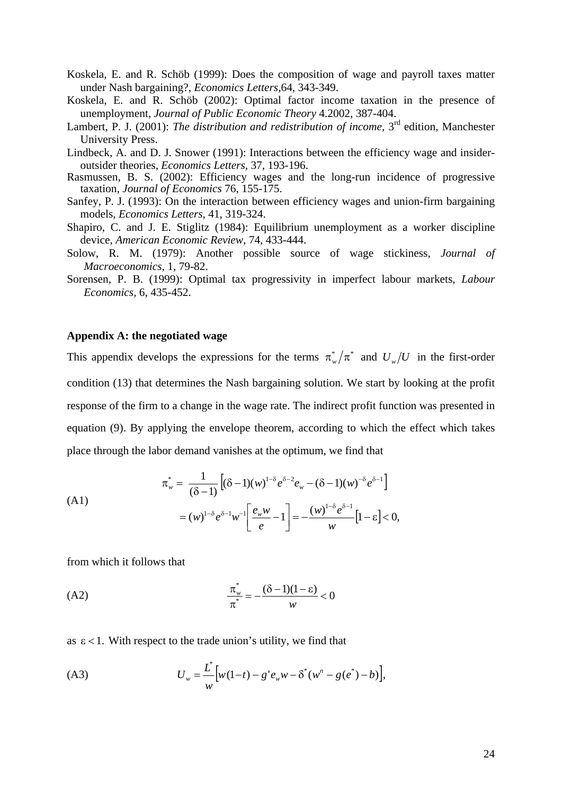- Koskela, E. and R. Schöb (1999): Does the composition of wage and payroll taxes matter under Nash bargaining?, *Economics Letters,*64, 343-349.
- Koskela, E. and R. Schöb (2002): Optimal factor income taxation in the presence of unemployment, *Journal of Public Economic Theory* 4.2002, 387-404.
- Lambert, P. J. (2001): *The distribution and redistribution of income*, 3<sup>rd</sup> edition, Manchester University Press.
- Lindbeck, A. and D. J. Snower (1991): Interactions between the efficiency wage and insideroutsider theories, *Economics Letters,* 37, 193-196.
- Rasmussen, B. S. (2002): Efficiency wages and the long-run incidence of progressive taxation, *Journal of Economics* 76, 155-175.
- Sanfey, P. J. (1993): On the interaction between efficiency wages and union-firm bargaining models, *Economics Letters,* 41, 319-324.
- Shapiro, C. and J. E. Stiglitz (1984): Equilibrium unemployment as a worker discipline device, *American Economic Review,* 74, 433-444.
- Solow, R. M. (1979): Another possible source of wage stickiness, *Journal of Macroeconomics,* 1, 79-82.
- Sorensen, P. B. (1999): Optimal tax progressivity in imperfect labour markets, *Labour Economics,* 6, 435-452.

#### **Appendix A: the negotiated wage**

This appendix develops the expressions for the terms  $\pi_{w}^{*}/\pi^{*}$  and  $U_{w}/U$  in the first-order condition (13) that determines the Nash bargaining solution. We start by looking at the profit response of the firm to a change in the wage rate. The indirect profit function was presented in equation (9). By applying the envelope theorem, according to which the effect which takes place through the labor demand vanishes at the optimum, we find that

(A1)  

$$
\pi_w^* = \frac{1}{(\delta - 1)} \left[ (\delta - 1)(w)^{1-\delta} e^{\delta - 2} e_w - (\delta - 1)(w)^{-\delta} e^{\delta - 1} \right]
$$

$$
= (w)^{1-\delta} e^{\delta - 1} w^{-1} \left[ \frac{e_w w}{e} - 1 \right] = -\frac{(w)^{1-\delta} e^{\delta - 1}}{w} [1 - \varepsilon] < 0,
$$

from which it follows that

(A2)

\n
$$
\frac{\pi_w^*}{\pi^*} = -\frac{(\delta - 1)(1 - \varepsilon)}{w} < 0
$$

as  $\epsilon$  < 1. With respect to the trade union's utility, we find that

(A3) 
$$
U_w = \frac{L^*}{w} \Big[ w(1-t) - g' e_w w - \delta^* (w^n - g(e^*) - b) \Big],
$$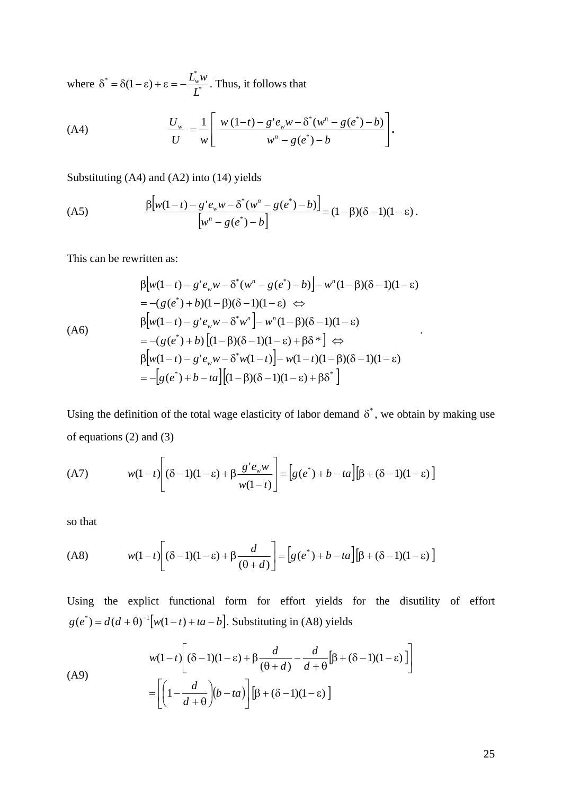where  $\delta^* = \delta(1-\epsilon) + \epsilon = -\frac{E_w}{I^*}$  $\delta^* = \delta(1 - \varepsilon) + \varepsilon = -\frac{L_w^* w}{L^*}$ . Thus, it follows that

(A4) 
$$
\frac{U_w}{U} = \frac{1}{w} \left[ \frac{w (1-t) - g' e_w w - \delta^* (w^n - g(e^*) - b)}{w^n - g(e^*) - b} \right].
$$

Substituting (A4) and (A2) into (14) yields

(A5)

\n
$$
\frac{\beta \left[ w(1-t) - g' e_w w - \delta^* (w^n - g(e^*) - b) \right]}{\left[ w^n - g(e^*) - b \right]} = (1 - \beta)(\delta - 1)(1 - \varepsilon).
$$

This can be rewritten as:

$$
\beta \left[ w(1-t) - g' e_w w - \delta^* (w^n - g(e^*) - b) \right] - w^n (1 - \beta)(\delta - 1)(1 - \varepsilon)
$$
\n
$$
= -(g(e^*) + b)(1 - \beta)(\delta - 1)(1 - \varepsilon) \Leftrightarrow
$$
\n
$$
\beta \left[ w(1-t) - g' e_w w - \delta^* w^n \right] - w^n (1 - \beta)(\delta - 1)(1 - \varepsilon)
$$
\n
$$
= -(g(e^*) + b) \left[ (1 - \beta)(\delta - 1)(1 - \varepsilon) + \beta \delta^* \right] \Leftrightarrow
$$
\n
$$
\beta \left[ w(1-t) - g' e_w w - \delta^* w(1-t) \right] - w(1-t)(1 - \beta)(\delta - 1)(1 - \varepsilon)
$$
\n
$$
= -\left[ g(e^*) + b - ta \right] \left[ (1 - \beta)(\delta - 1)(1 - \varepsilon) + \beta \delta^* \right]
$$

Using the definition of the total wage elasticity of labor demand  $\delta^*$ , we obtain by making use of equations (2) and (3)

(A7) 
$$
w(1-t)\left[ (\delta-1)(1-\epsilon) + \beta \frac{g' e_w w}{w(1-t)} \right] = \left[ g(e^*) + b - ta \right] \left[ \beta + (\delta-1)(1-\epsilon) \right]
$$

so that

$$
(A8) \t w(1-t) \left[ (\delta - 1)(1-\varepsilon) + \beta \frac{d}{(\theta + d)} \right] = \left[ g(e^*) + b - ta \right] \left[ \beta + (\delta - 1)(1-\varepsilon) \right]
$$

Using the explict functional form for effort yields for the disutility of effort  $g(e^*) = d(d + \theta)^{-1} [w(1-t) + ta - b]$ . Substituting in (A8) yields

(A9)  

$$
w(1-t)\left[ (\delta - 1)(1-\epsilon) + \beta \frac{d}{(\theta + d)} - \frac{d}{d + \theta} [\beta + (\delta - 1)(1-\epsilon)] \right]
$$

$$
= \left[ \left( 1 - \frac{d}{d + \theta} \right) (b - ta) \right] [\beta + (\delta - 1)(1-\epsilon)]
$$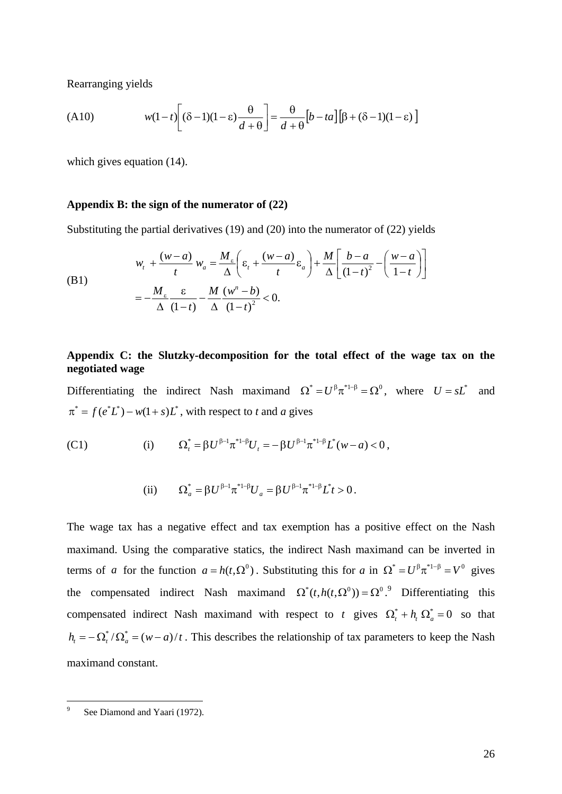Rearranging yields

(A10) 
$$
w(1-t)\left[ (\delta-1)(1-\epsilon)\frac{\theta}{d+\theta} \right] = \frac{\theta}{d+\theta} \left[ b - ta \right] \left[ \beta + (\delta-1)(1-\epsilon) \right]
$$

which gives equation (14).

#### **Appendix B: the sign of the numerator of (22)**

Substituting the partial derivatives (19) and (20) into the numerator of (22) yields

(B1)  

$$
w_t + \frac{(w-a)}{t} w_a = \frac{M_{\varepsilon}}{\Delta} \left( \varepsilon_t + \frac{(w-a)}{t} \varepsilon_a \right) + \frac{M}{\Delta} \left[ \frac{b-a}{(1-t)^2} - \left( \frac{w-a}{1-t} \right) \right]
$$

$$
= -\frac{M_{\varepsilon}}{\Delta} \frac{\varepsilon}{(1-t)} - \frac{M}{\Delta} \frac{(w^n - b)}{(1-t)^2} < 0.
$$

#### **Appendix C: the Slutzky-decomposition for the total effect of the wage tax on the negotiated wage**

Differentiating the indirect Nash maximand  $\Omega^* = U^{\beta} \pi^{*1-\beta} = \Omega^0$ , where  $U = sL^*$  and  $\pi^* = f(e^*L^*) - w(1+s)L^*$ , with respect to *t* and *a* gives

(C1) (i) 
$$
\Omega_t^* = \beta U^{\beta - 1} \pi^{*1 - \beta} U_t = -\beta U^{\beta - 1} \pi^{*1 - \beta} L^*(w - a) < 0,
$$

(ii) 
$$
\Omega_a^* = \beta U^{\beta - 1} \pi^{*1 - \beta} U_a = \beta U^{\beta - 1} \pi^{*1 - \beta} L^* t > 0.
$$

The wage tax has a negative effect and tax exemption has a positive effect on the Nash maximand. Using the comparative statics, the indirect Nash maximand can be inverted in terms of *a* for the function  $a = h(t, \Omega^0)$ . Substituting this for *a* in  $\Omega^* = U^{\beta} \pi^{*1-\beta} = V^0$  gives the compensated indirect Nash maximand  $\Omega^*(t, h(t, \Omega^0)) = \Omega^{0.9}$  Differentiating this compensated indirect Nash maximand with respect to *t* gives  $\Omega_{t}^{*} + h_{t} \Omega_{a}^{*} = 0$  so that  $h_t = -\Omega_t^* / \Omega_a^* = (w - a)/t$ . This describes the relationship of tax parameters to keep the Nash maximand constant.

<u>.</u>

<sup>9</sup> See Diamond and Yaari (1972).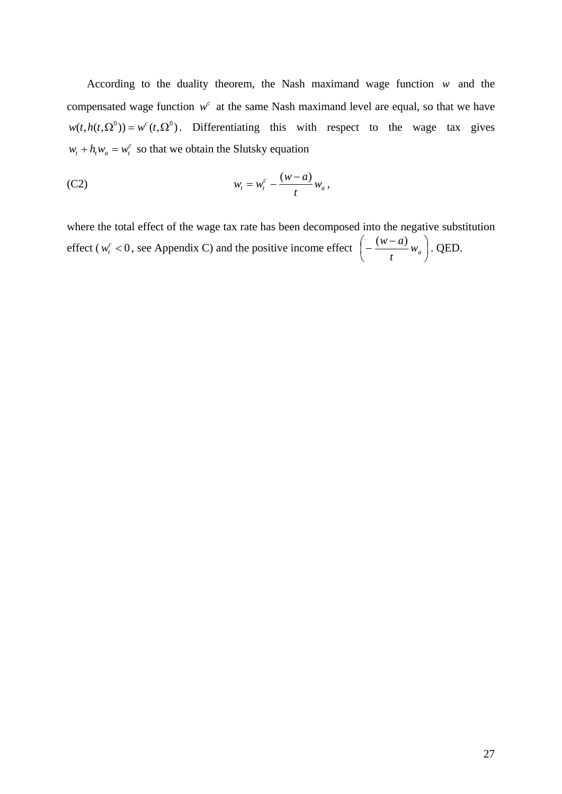According to the duality theorem, the Nash maximand wage function *w* and the compensated wage function  $w^c$  at the same Nash maximand level are equal, so that we have  $w(t, h(t, \Omega^0)) = w^c(t, \Omega^0)$ . Differentiating this with respect to the wage tax gives  $w_t + h_t w_a = w_t^c$  so that we obtain the Slutsky equation

$$
(C2) \t\t\t w_t = w_t^c - \frac{(w-a)}{t} w_a,
$$

where the total effect of the wage tax rate has been decomposed into the negative substitution effect ( $w_t^c < 0$ , see Appendix C) and the positive income effect  $\left[-\frac{(w-a)}{a}w_a\right]$ ⎠  $\left(-\frac{(w-a)}{w_a}w_a\right)$  $\left(-\frac{(w-a)}{t}w_a\right)$ . QED.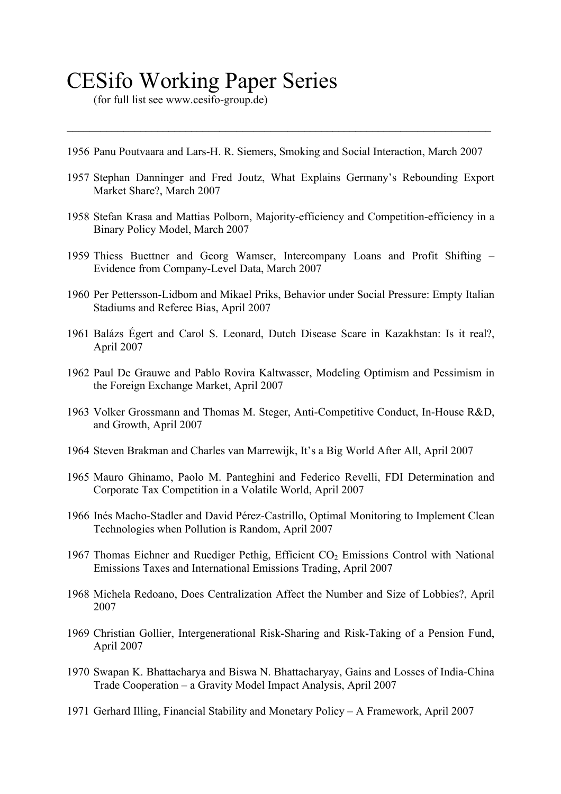# CESifo Working Paper Series

 $($ for full list see www.cesifo-group.de $)$ 

1956 Panu Poutvaara and Lars-H. R. Siemers, Smoking and Social Interaction, March 2007

 $\mathcal{L}_\mathcal{L} = \mathcal{L}_\mathcal{L} = \mathcal{L}_\mathcal{L} = \mathcal{L}_\mathcal{L} = \mathcal{L}_\mathcal{L} = \mathcal{L}_\mathcal{L} = \mathcal{L}_\mathcal{L} = \mathcal{L}_\mathcal{L} = \mathcal{L}_\mathcal{L} = \mathcal{L}_\mathcal{L} = \mathcal{L}_\mathcal{L} = \mathcal{L}_\mathcal{L} = \mathcal{L}_\mathcal{L} = \mathcal{L}_\mathcal{L} = \mathcal{L}_\mathcal{L} = \mathcal{L}_\mathcal{L} = \mathcal{L}_\mathcal{L}$ 

- 1957 Stephan Danninger and Fred Joutz, What Explains Germany's Rebounding Export Market Share?, March 2007
- 1958 Stefan Krasa and Mattias Polborn, Majority-efficiency and Competition-efficiency in a Binary Policy Model, March 2007
- 1959 Thiess Buettner and Georg Wamser, Intercompany Loans and Profit Shifting Evidence from Company-Level Data, March 2007
- 1960 Per Pettersson-Lidbom and Mikael Priks, Behavior under Social Pressure: Empty Italian Stadiums and Referee Bias, April 2007
- 1961 Balázs Égert and Carol S. Leonard, Dutch Disease Scare in Kazakhstan: Is it real?, April 2007
- 1962 Paul De Grauwe and Pablo Rovira Kaltwasser, Modeling Optimism and Pessimism in the Foreign Exchange Market, April 2007
- 1963 Volker Grossmann and Thomas M. Steger, Anti-Competitive Conduct, In-House R&D, and Growth, April 2007
- 1964 Steven Brakman and Charles van Marrewijk, It's a Big World After All, April 2007
- 1965 Mauro Ghinamo, Paolo M. Panteghini and Federico Revelli, FDI Determination and Corporate Tax Competition in a Volatile World, April 2007
- 1966 Inés Macho-Stadler and David Pérez-Castrillo, Optimal Monitoring to Implement Clean Technologies when Pollution is Random, April 2007
- 1967 Thomas Eichner and Ruediger Pethig, Efficient  $CO<sub>2</sub>$  Emissions Control with National Emissions Taxes and International Emissions Trading, April 2007
- 1968 Michela Redoano, Does Centralization Affect the Number and Size of Lobbies?, April 2007
- 1969 Christian Gollier, Intergenerational Risk-Sharing and Risk-Taking of a Pension Fund, April 2007
- 1970 Swapan K. Bhattacharya and Biswa N. Bhattacharyay, Gains and Losses of India-China Trade Cooperation – a Gravity Model Impact Analysis, April 2007
- 1971 Gerhard Illing, Financial Stability and Monetary Policy A Framework, April 2007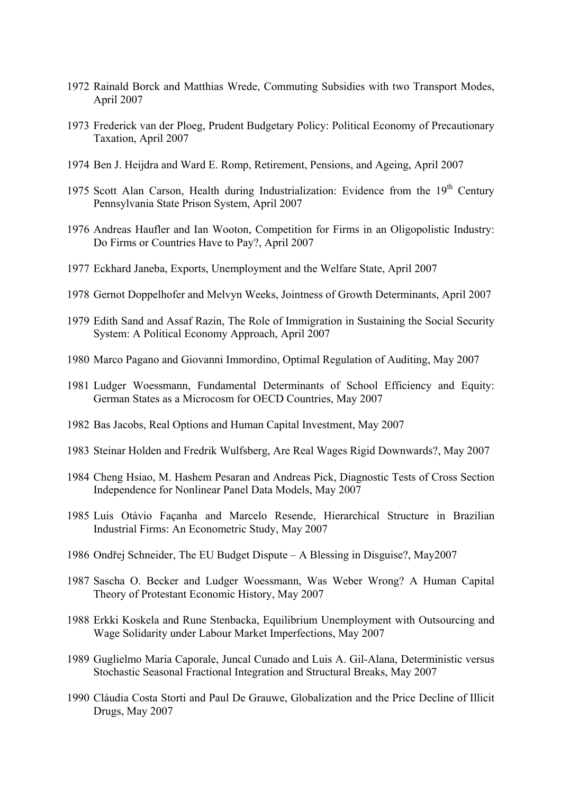- 1972 Rainald Borck and Matthias Wrede, Commuting Subsidies with two Transport Modes, April 2007
- 1973 Frederick van der Ploeg, Prudent Budgetary Policy: Political Economy of Precautionary Taxation, April 2007
- 1974 Ben J. Heijdra and Ward E. Romp, Retirement, Pensions, and Ageing, April 2007
- 1975 Scott Alan Carson, Health during Industrialization: Evidence from the 19<sup>th</sup> Century Pennsylvania State Prison System, April 2007
- 1976 Andreas Haufler and Ian Wooton, Competition for Firms in an Oligopolistic Industry: Do Firms or Countries Have to Pay?, April 2007
- 1977 Eckhard Janeba, Exports, Unemployment and the Welfare State, April 2007
- 1978 Gernot Doppelhofer and Melvyn Weeks, Jointness of Growth Determinants, April 2007
- 1979 Edith Sand and Assaf Razin, The Role of Immigration in Sustaining the Social Security System: A Political Economy Approach, April 2007
- 1980 Marco Pagano and Giovanni Immordino, Optimal Regulation of Auditing, May 2007
- 1981 Ludger Woessmann, Fundamental Determinants of School Efficiency and Equity: German States as a Microcosm for OECD Countries, May 2007
- 1982 Bas Jacobs, Real Options and Human Capital Investment, May 2007
- 1983 Steinar Holden and Fredrik Wulfsberg, Are Real Wages Rigid Downwards?, May 2007
- 1984 Cheng Hsiao, M. Hashem Pesaran and Andreas Pick, Diagnostic Tests of Cross Section Independence for Nonlinear Panel Data Models, May 2007
- 1985 Luis Otávio Façanha and Marcelo Resende, Hierarchical Structure in Brazilian Industrial Firms: An Econometric Study, May 2007
- 1986 Ondřej Schneider, The EU Budget Dispute A Blessing in Disguise?, May2007
- 1987 Sascha O. Becker and Ludger Woessmann, Was Weber Wrong? A Human Capital Theory of Protestant Economic History, May 2007
- 1988 Erkki Koskela and Rune Stenbacka, Equilibrium Unemployment with Outsourcing and Wage Solidarity under Labour Market Imperfections, May 2007
- 1989 Guglielmo Maria Caporale, Juncal Cunado and Luis A. Gil-Alana, Deterministic versus Stochastic Seasonal Fractional Integration and Structural Breaks, May 2007
- 1990 Cláudia Costa Storti and Paul De Grauwe, Globalization and the Price Decline of Illicit Drugs, May 2007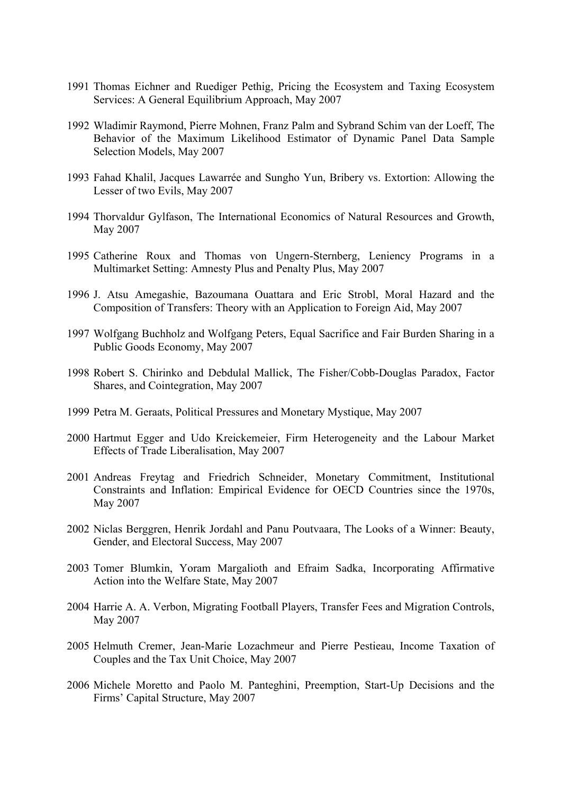- 1991 Thomas Eichner and Ruediger Pethig, Pricing the Ecosystem and Taxing Ecosystem Services: A General Equilibrium Approach, May 2007
- 1992 Wladimir Raymond, Pierre Mohnen, Franz Palm and Sybrand Schim van der Loeff, The Behavior of the Maximum Likelihood Estimator of Dynamic Panel Data Sample Selection Models, May 2007
- 1993 Fahad Khalil, Jacques Lawarrée and Sungho Yun, Bribery vs. Extortion: Allowing the Lesser of two Evils, May 2007
- 1994 Thorvaldur Gylfason, The International Economics of Natural Resources and Growth, May 2007
- 1995 Catherine Roux and Thomas von Ungern-Sternberg, Leniency Programs in a Multimarket Setting: Amnesty Plus and Penalty Plus, May 2007
- 1996 J. Atsu Amegashie, Bazoumana Ouattara and Eric Strobl, Moral Hazard and the Composition of Transfers: Theory with an Application to Foreign Aid, May 2007
- 1997 Wolfgang Buchholz and Wolfgang Peters, Equal Sacrifice and Fair Burden Sharing in a Public Goods Economy, May 2007
- 1998 Robert S. Chirinko and Debdulal Mallick, The Fisher/Cobb-Douglas Paradox, Factor Shares, and Cointegration, May 2007
- 1999 Petra M. Geraats, Political Pressures and Monetary Mystique, May 2007
- 2000 Hartmut Egger and Udo Kreickemeier, Firm Heterogeneity and the Labour Market Effects of Trade Liberalisation, May 2007
- 2001 Andreas Freytag and Friedrich Schneider, Monetary Commitment, Institutional Constraints and Inflation: Empirical Evidence for OECD Countries since the 1970s, May 2007
- 2002 Niclas Berggren, Henrik Jordahl and Panu Poutvaara, The Looks of a Winner: Beauty, Gender, and Electoral Success, May 2007
- 2003 Tomer Blumkin, Yoram Margalioth and Efraim Sadka, Incorporating Affirmative Action into the Welfare State, May 2007
- 2004 Harrie A. A. Verbon, Migrating Football Players, Transfer Fees and Migration Controls, May 2007
- 2005 Helmuth Cremer, Jean-Marie Lozachmeur and Pierre Pestieau, Income Taxation of Couples and the Tax Unit Choice, May 2007
- 2006 Michele Moretto and Paolo M. Panteghini, Preemption, Start-Up Decisions and the Firms' Capital Structure, May 2007